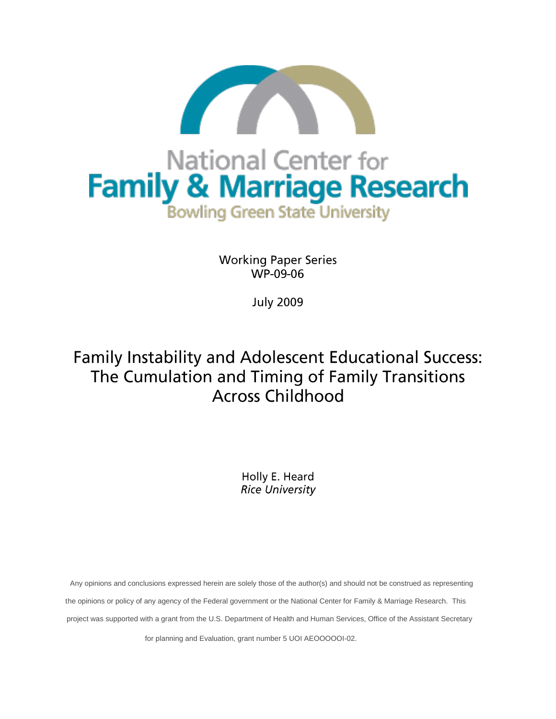

**Working Paper Series** WP-09-06

**July 2009** 

# **Family Instability and Adolescent Educational Success:** The Cumulation and Timing of Family Transitions **Across Childhood**

Holly E. Heard **Rice University** 

Any opinions and conclusions expressed herein are solely those of the author(s) and should not be construed as representing the opinions or policy of any agency of the Federal government or the National Center for Family & Marriage Research. This project was supported with a grant from the U.S. Department of Health and Human Services, Office of the Assistant Secretary

for planning and Evaluation, grant number 5 UOI AEOOOOOI-02.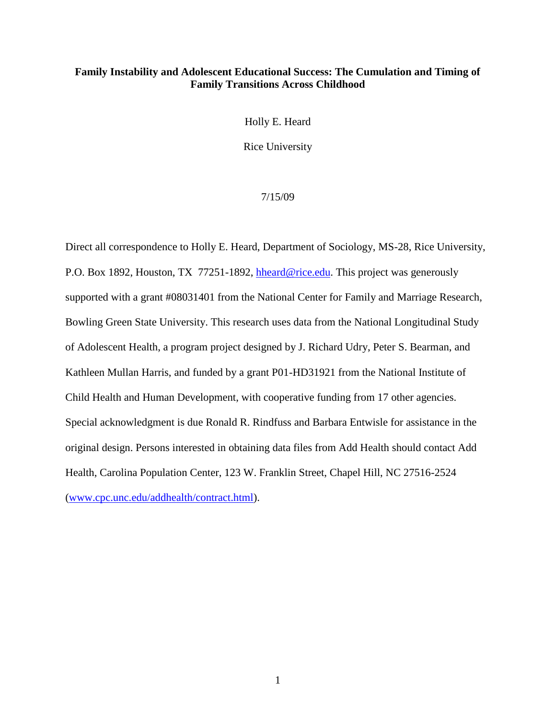# **Family Instability and Adolescent Educational Success: The Cumulation and Timing of Family Transitions Across Childhood**

Holly E. Heard

Rice University

#### 7/15/09

Direct all correspondence to Holly E. Heard, Department of Sociology, MS-28, Rice University, P.O. Box 1892, Houston, TX 77251-1892, [hheard@rice.edu.](mailto:hheard@rice.edu) This project was generously supported with a grant #08031401 from the National Center for Family and Marriage Research, Bowling Green State University. This research uses data from the National Longitudinal Study of Adolescent Health, a program project designed by J. Richard Udry, Peter S. Bearman, and Kathleen Mullan Harris, and funded by a grant P01-HD31921 from the National Institute of Child Health and Human Development, with cooperative funding from 17 other agencies. Special acknowledgment is due Ronald R. Rindfuss and Barbara Entwisle for assistance in the original design. Persons interested in obtaining data files from Add Health should contact Add Health, Carolina Population Center, 123 W. Franklin Street, Chapel Hill, NC 27516-2524 [\(www.cpc.unc.edu/addhealth/contract.html\)](http://www.cpc.unc.edu/addhealth/contract.html).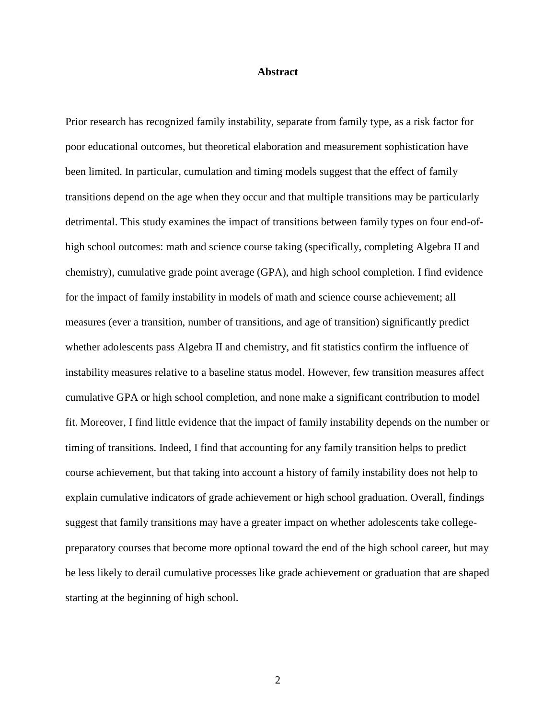#### **Abstract**

Prior research has recognized family instability, separate from family type, as a risk factor for poor educational outcomes, but theoretical elaboration and measurement sophistication have been limited. In particular, cumulation and timing models suggest that the effect of family transitions depend on the age when they occur and that multiple transitions may be particularly detrimental. This study examines the impact of transitions between family types on four end-ofhigh school outcomes: math and science course taking (specifically, completing Algebra II and chemistry), cumulative grade point average (GPA), and high school completion. I find evidence for the impact of family instability in models of math and science course achievement; all measures (ever a transition, number of transitions, and age of transition) significantly predict whether adolescents pass Algebra II and chemistry, and fit statistics confirm the influence of instability measures relative to a baseline status model. However, few transition measures affect cumulative GPA or high school completion, and none make a significant contribution to model fit. Moreover, I find little evidence that the impact of family instability depends on the number or timing of transitions. Indeed, I find that accounting for any family transition helps to predict course achievement, but that taking into account a history of family instability does not help to explain cumulative indicators of grade achievement or high school graduation. Overall, findings suggest that family transitions may have a greater impact on whether adolescents take collegepreparatory courses that become more optional toward the end of the high school career, but may be less likely to derail cumulative processes like grade achievement or graduation that are shaped starting at the beginning of high school.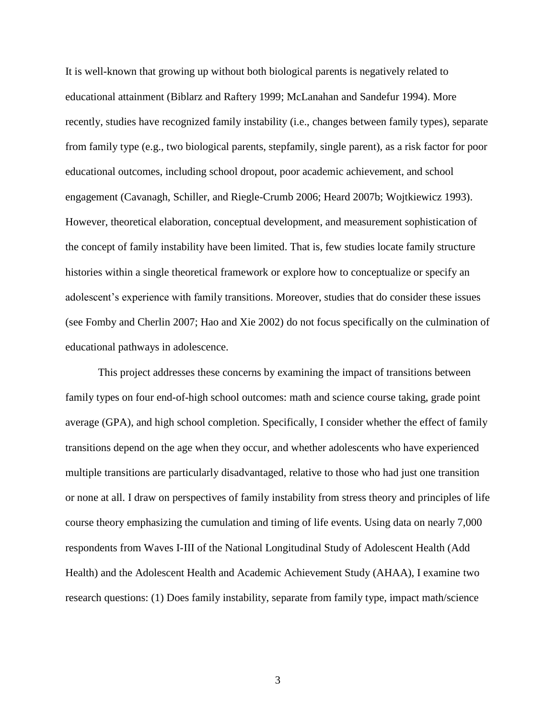It is well-known that growing up without both biological parents is negatively related to educational attainment (Biblarz and Raftery 1999; McLanahan and Sandefur 1994). More recently, studies have recognized family instability (i.e., changes between family types), separate from family type (e.g., two biological parents, stepfamily, single parent), as a risk factor for poor educational outcomes, including school dropout, poor academic achievement, and school engagement (Cavanagh, Schiller, and Riegle-Crumb 2006; Heard 2007b; Wojtkiewicz 1993). However, theoretical elaboration, conceptual development, and measurement sophistication of the concept of family instability have been limited. That is, few studies locate family structure histories within a single theoretical framework or explore how to conceptualize or specify an adolescent's experience with family transitions. Moreover, studies that do consider these issues (see Fomby and Cherlin 2007; Hao and Xie 2002) do not focus specifically on the culmination of educational pathways in adolescence.

This project addresses these concerns by examining the impact of transitions between family types on four end-of-high school outcomes: math and science course taking, grade point average (GPA), and high school completion. Specifically, I consider whether the effect of family transitions depend on the age when they occur, and whether adolescents who have experienced multiple transitions are particularly disadvantaged, relative to those who had just one transition or none at all. I draw on perspectives of family instability from stress theory and principles of life course theory emphasizing the cumulation and timing of life events. Using data on nearly 7,000 respondents from Waves I-III of the National Longitudinal Study of Adolescent Health (Add Health) and the Adolescent Health and Academic Achievement Study (AHAA), I examine two research questions: (1) Does family instability, separate from family type, impact math/science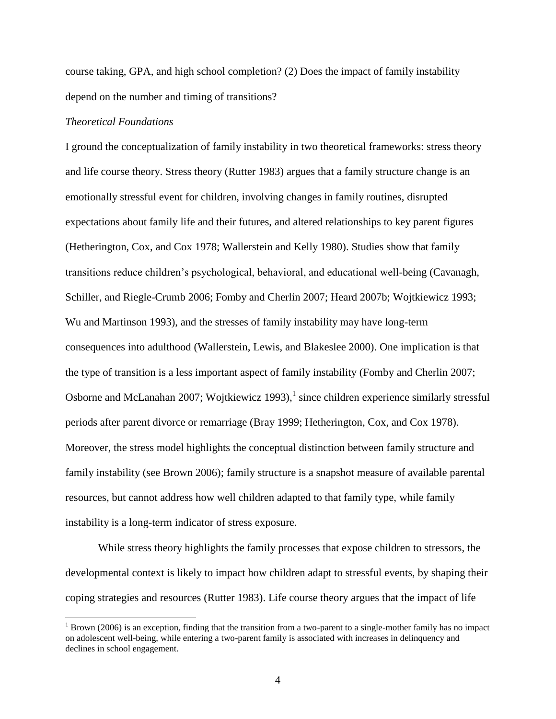course taking, GPA, and high school completion? (2) Does the impact of family instability depend on the number and timing of transitions?

## *Theoretical Foundations*

 $\overline{a}$ 

I ground the conceptualization of family instability in two theoretical frameworks: stress theory and life course theory. Stress theory (Rutter 1983) argues that a family structure change is an emotionally stressful event for children, involving changes in family routines, disrupted expectations about family life and their futures, and altered relationships to key parent figures (Hetherington, Cox, and Cox 1978; Wallerstein and Kelly 1980). Studies show that family transitions reduce children's psychological, behavioral, and educational well-being (Cavanagh, Schiller, and Riegle-Crumb 2006; Fomby and Cherlin 2007; Heard 2007b; Wojtkiewicz 1993; Wu and Martinson 1993), and the stresses of family instability may have long-term consequences into adulthood (Wallerstein, Lewis, and Blakeslee 2000). One implication is that the type of transition is a less important aspect of family instability (Fomby and Cherlin 2007; Osborne and McLanahan 2007; Wojtkiewicz 1993),<sup>1</sup> since children experience similarly stressful periods after parent divorce or remarriage (Bray 1999; Hetherington, Cox, and Cox 1978). Moreover, the stress model highlights the conceptual distinction between family structure and family instability (see Brown 2006); family structure is a snapshot measure of available parental resources, but cannot address how well children adapted to that family type, while family instability is a long-term indicator of stress exposure.

While stress theory highlights the family processes that expose children to stressors, the developmental context is likely to impact how children adapt to stressful events, by shaping their coping strategies and resources (Rutter 1983). Life course theory argues that the impact of life

<sup>&</sup>lt;sup>1</sup> Brown (2006) is an exception, finding that the transition from a two-parent to a single-mother family has no impact on adolescent well-being, while entering a two-parent family is associated with increases in delinquency and declines in school engagement.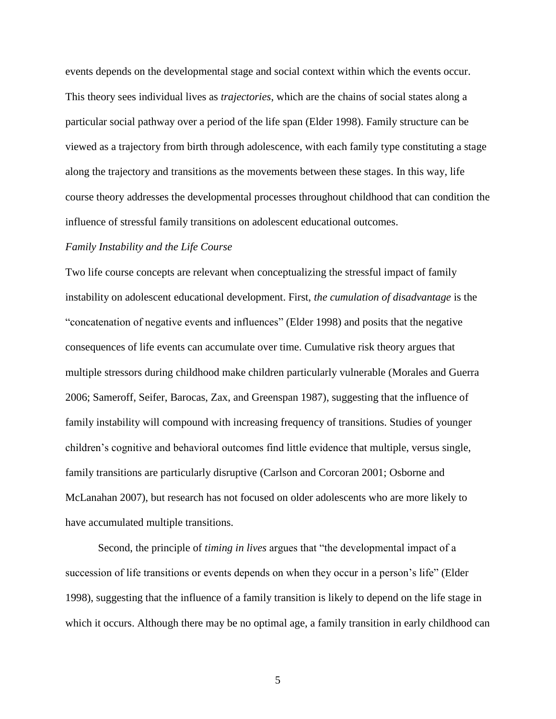events depends on the developmental stage and social context within which the events occur. This theory sees individual lives as *trajectories*, which are the chains of social states along a particular social pathway over a period of the life span (Elder 1998). Family structure can be viewed as a trajectory from birth through adolescence, with each family type constituting a stage along the trajectory and transitions as the movements between these stages. In this way, life course theory addresses the developmental processes throughout childhood that can condition the influence of stressful family transitions on adolescent educational outcomes.

#### *Family Instability and the Life Course*

Two life course concepts are relevant when conceptualizing the stressful impact of family instability on adolescent educational development. First, *the cumulation of disadvantage* is the ―concatenation of negative events and influences‖ (Elder 1998) and posits that the negative consequences of life events can accumulate over time. Cumulative risk theory argues that multiple stressors during childhood make children particularly vulnerable (Morales and Guerra 2006; Sameroff, Seifer, Barocas, Zax, and Greenspan 1987), suggesting that the influence of family instability will compound with increasing frequency of transitions. Studies of younger children's cognitive and behavioral outcomes find little evidence that multiple, versus single, family transitions are particularly disruptive (Carlson and Corcoran 2001; Osborne and McLanahan 2007), but research has not focused on older adolescents who are more likely to have accumulated multiple transitions.

Second, the principle of *timing in lives* argues that "the developmental impact of a succession of life transitions or events depends on when they occur in a person's life" (Elder 1998), suggesting that the influence of a family transition is likely to depend on the life stage in which it occurs. Although there may be no optimal age, a family transition in early childhood can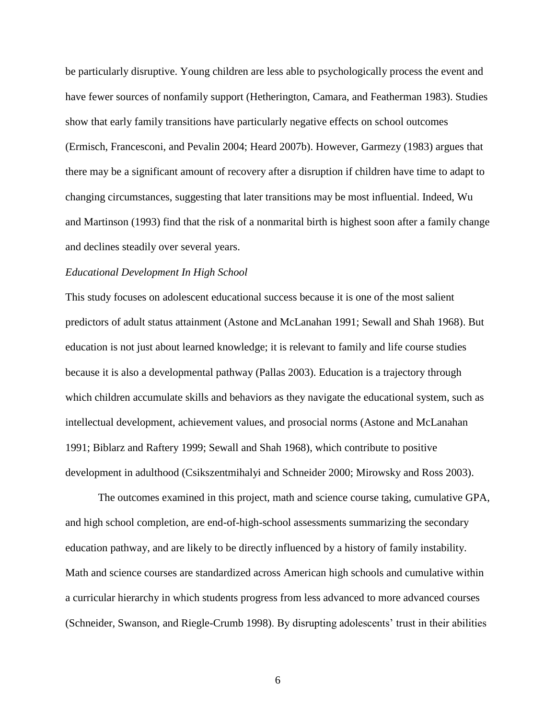be particularly disruptive. Young children are less able to psychologically process the event and have fewer sources of nonfamily support (Hetherington, Camara, and Featherman 1983). Studies show that early family transitions have particularly negative effects on school outcomes (Ermisch, Francesconi, and Pevalin 2004; Heard 2007b). However, Garmezy (1983) argues that there may be a significant amount of recovery after a disruption if children have time to adapt to changing circumstances, suggesting that later transitions may be most influential. Indeed, Wu and Martinson (1993) find that the risk of a nonmarital birth is highest soon after a family change and declines steadily over several years.

## *Educational Development In High School*

This study focuses on adolescent educational success because it is one of the most salient predictors of adult status attainment (Astone and McLanahan 1991; Sewall and Shah 1968). But education is not just about learned knowledge; it is relevant to family and life course studies because it is also a developmental pathway (Pallas 2003). Education is a trajectory through which children accumulate skills and behaviors as they navigate the educational system, such as intellectual development, achievement values, and prosocial norms (Astone and McLanahan 1991; Biblarz and Raftery 1999; Sewall and Shah 1968), which contribute to positive development in adulthood (Csikszentmihalyi and Schneider 2000; Mirowsky and Ross 2003).

The outcomes examined in this project, math and science course taking, cumulative GPA, and high school completion, are end-of-high-school assessments summarizing the secondary education pathway, and are likely to be directly influenced by a history of family instability. Math and science courses are standardized across American high schools and cumulative within a curricular hierarchy in which students progress from less advanced to more advanced courses (Schneider, Swanson, and Riegle-Crumb 1998). By disrupting adolescents' trust in their abilities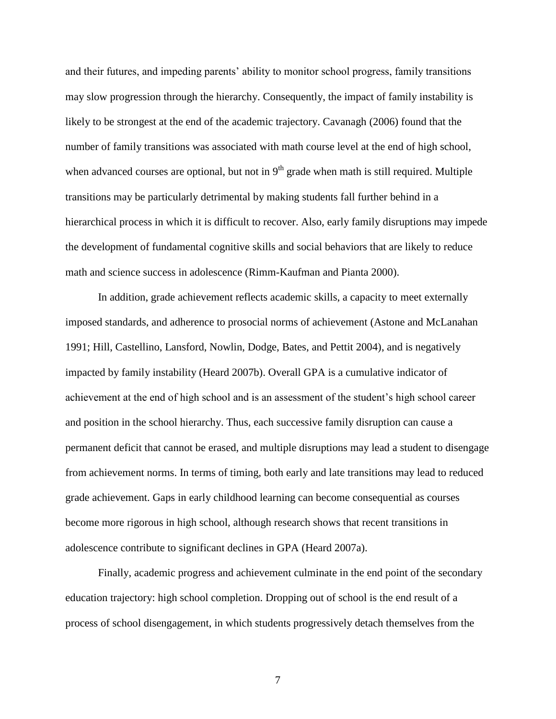and their futures, and impeding parents' ability to monitor school progress, family transitions may slow progression through the hierarchy. Consequently, the impact of family instability is likely to be strongest at the end of the academic trajectory. Cavanagh (2006) found that the number of family transitions was associated with math course level at the end of high school, when advanced courses are optional, but not in  $9<sup>th</sup>$  grade when math is still required. Multiple transitions may be particularly detrimental by making students fall further behind in a hierarchical process in which it is difficult to recover. Also, early family disruptions may impede the development of fundamental cognitive skills and social behaviors that are likely to reduce math and science success in adolescence (Rimm-Kaufman and Pianta 2000).

In addition, grade achievement reflects academic skills, a capacity to meet externally imposed standards, and adherence to prosocial norms of achievement (Astone and McLanahan 1991; Hill, Castellino, Lansford, Nowlin, Dodge, Bates, and Pettit 2004), and is negatively impacted by family instability (Heard 2007b). Overall GPA is a cumulative indicator of achievement at the end of high school and is an assessment of the student's high school career and position in the school hierarchy. Thus, each successive family disruption can cause a permanent deficit that cannot be erased, and multiple disruptions may lead a student to disengage from achievement norms. In terms of timing, both early and late transitions may lead to reduced grade achievement. Gaps in early childhood learning can become consequential as courses become more rigorous in high school, although research shows that recent transitions in adolescence contribute to significant declines in GPA (Heard 2007a).

Finally, academic progress and achievement culminate in the end point of the secondary education trajectory: high school completion. Dropping out of school is the end result of a process of school disengagement, in which students progressively detach themselves from the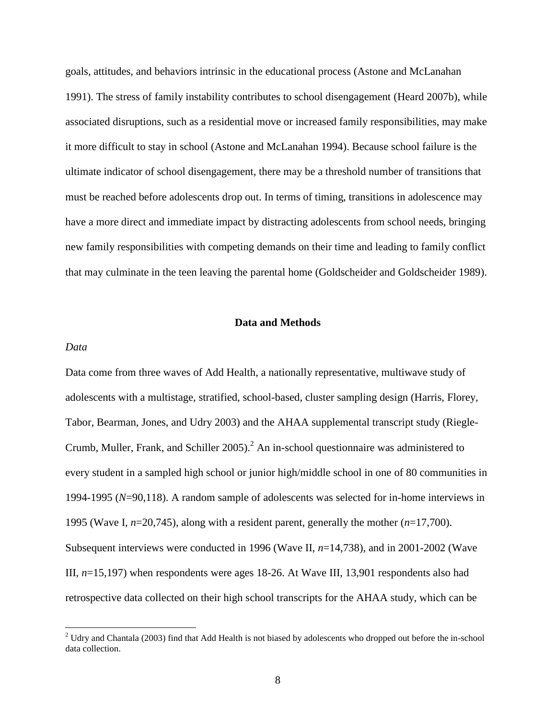goals, attitudes, and behaviors intrinsic in the educational process (Astone and McLanahan 1991). The stress of family instability contributes to school disengagement (Heard 2007b), while associated disruptions, such as a residential move or increased family responsibilities, may make it more difficult to stay in school (Astone and McLanahan 1994). Because school failure is the ultimate indicator of school disengagement, there may be a threshold number of transitions that must be reached before adolescents drop out. In terms of timing, transitions in adolescence may have a more direct and immediate impact by distracting adolescents from school needs, bringing new family responsibilities with competing demands on their time and leading to family conflict that may culminate in the teen leaving the parental home (Goldscheider and Goldscheider 1989).

#### **Data and Methods**

### *Data*

 $\overline{a}$ 

Data come from three waves of Add Health, a nationally representative, multiwave study of adolescents with a multistage, stratified, school-based, cluster sampling design (Harris, Florey, Tabor, Bearman, Jones, and Udry 2003) and the AHAA supplemental transcript study (Riegle-Crumb, Muller, Frank, and Schiller 2005).<sup>2</sup> An in-school questionnaire was administered to every student in a sampled high school or junior high/middle school in one of 80 communities in 1994-1995 (*N*=90,118). A random sample of adolescents was selected for in-home interviews in 1995 (Wave I, *n*=20,745), along with a resident parent, generally the mother (*n*=17,700). Subsequent interviews were conducted in 1996 (Wave II, *n*=14,738), and in 2001-2002 (Wave III, *n*=15,197) when respondents were ages 18-26. At Wave III, 13,901 respondents also had retrospective data collected on their high school transcripts for the AHAA study, which can be

<sup>&</sup>lt;sup>2</sup> Udry and Chantala (2003) find that Add Health is not biased by adolescents who dropped out before the in-school data collection.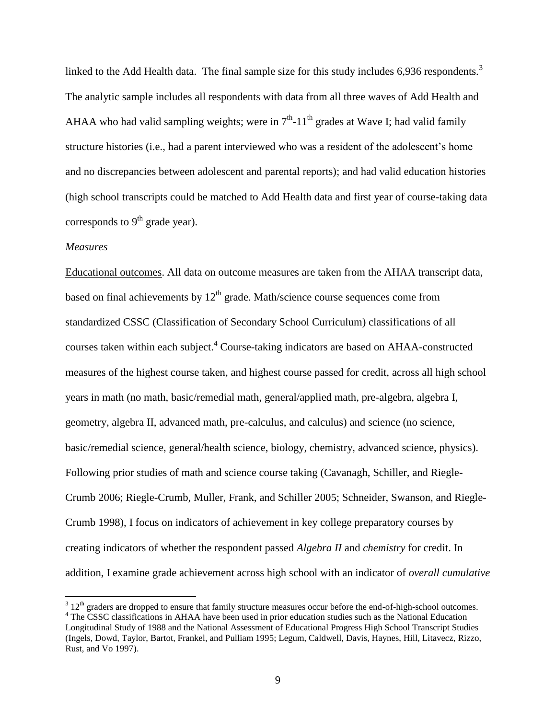linked to the Add Health data. The final sample size for this study includes 6,936 respondents.<sup>3</sup> The analytic sample includes all respondents with data from all three waves of Add Health and AHAA who had valid sampling weights; were in  $7<sup>th</sup>$ -11<sup>th</sup> grades at Wave I; had valid family structure histories (i.e., had a parent interviewed who was a resident of the adolescent's home and no discrepancies between adolescent and parental reports); and had valid education histories (high school transcripts could be matched to Add Health data and first year of course-taking data corresponds to  $9<sup>th</sup>$  grade year).

#### *Measures*

Educational outcomes. All data on outcome measures are taken from the AHAA transcript data, based on final achievements by  $12<sup>th</sup>$  grade. Math/science course sequences come from standardized CSSC (Classification of Secondary School Curriculum) classifications of all courses taken within each subject.<sup>4</sup> Course-taking indicators are based on AHAA-constructed measures of the highest course taken, and highest course passed for credit, across all high school years in math (no math, basic/remedial math, general/applied math, pre-algebra, algebra I, geometry, algebra II, advanced math, pre-calculus, and calculus) and science (no science, basic/remedial science, general/health science, biology, chemistry, advanced science, physics). Following prior studies of math and science course taking (Cavanagh, Schiller, and Riegle-Crumb 2006; Riegle-Crumb, Muller, Frank, and Schiller 2005; Schneider, Swanson, and Riegle-Crumb 1998), I focus on indicators of achievement in key college preparatory courses by creating indicators of whether the respondent passed *Algebra II* and *chemistry* for credit. In addition, I examine grade achievement across high school with an indicator of *overall cumulative* 

<sup>&</sup>lt;sup>3</sup> 12<sup>th</sup> graders are dropped to ensure that family structure measures occur before the end-of-high-school outcomes. <sup>4</sup> The CSSC classifications in AHAA have been used in prior education studies such as the National Education

Longitudinal Study of 1988 and the National Assessment of Educational Progress High School Transcript Studies (Ingels, Dowd, Taylor, Bartot, Frankel, and Pulliam 1995; Legum, Caldwell, Davis, Haynes, Hill, Litavecz, Rizzo, Rust, and Vo 1997).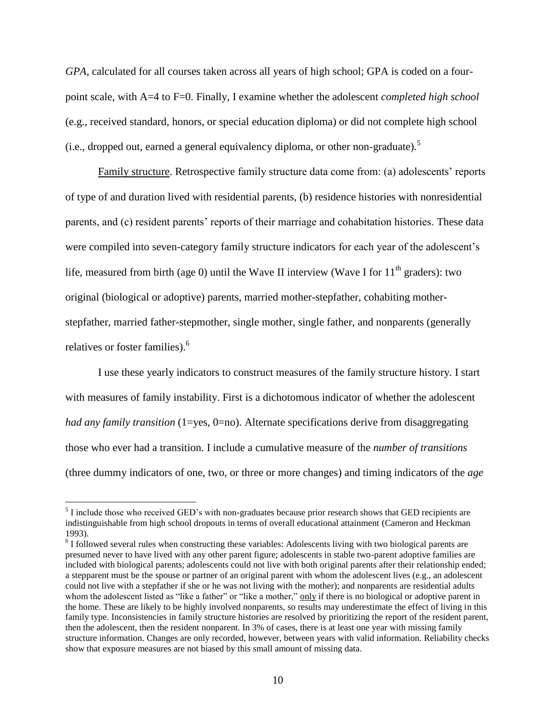*GPA,* calculated for all courses taken across all years of high school; GPA is coded on a fourpoint scale, with A=4 to F=0. Finally, I examine whether the adolescent *completed high school* (e.g., received standard, honors, or special education diploma) or did not complete high school (i.e., dropped out, earned a general equivalency diploma, or other non-graduate).<sup>5</sup>

Family structure. Retrospective family structure data come from: (a) adolescents' reports of type of and duration lived with residential parents, (b) residence histories with nonresidential parents, and (c) resident parents' reports of their marriage and cohabitation histories. These data were compiled into seven-category family structure indicators for each year of the adolescent's life, measured from birth (age 0) until the Wave II interview (Wave I for  $11<sup>th</sup>$  graders): two original (biological or adoptive) parents, married mother-stepfather, cohabiting motherstepfather, married father-stepmother, single mother, single father, and nonparents (generally relatives or foster families).<sup>6</sup>

I use these yearly indicators to construct measures of the family structure history. I start with measures of family instability. First is a dichotomous indicator of whether the adolescent *had any family transition* (1=yes, 0=no). Alternate specifications derive from disaggregating those who ever had a transition. I include a cumulative measure of the *number of transitions* (three dummy indicators of one, two, or three or more changes) and timing indicators of the *age* 

 $\overline{a}$ 

 $<sup>5</sup>$  I include those who received GED's with non-graduates because prior research shows that GED recipients are</sup> indistinguishable from high school dropouts in terms of overall educational attainment (Cameron and Heckman 1993).

<sup>&</sup>lt;sup>6</sup> I followed several rules when constructing these variables: Adolescents living with two biological parents are presumed never to have lived with any other parent figure; adolescents in stable two-parent adoptive families are included with biological parents; adolescents could not live with both original parents after their relationship ended; a stepparent must be the spouse or partner of an original parent with whom the adolescent lives (e.g., an adolescent could not live with a stepfather if she or he was not living with the mother); and nonparents are residential adults whom the adolescent listed as "like a father" or "like a mother," only if there is no biological or adoptive parent in the home. These are likely to be highly involved nonparents, so results may underestimate the effect of living in this family type. Inconsistencies in family structure histories are resolved by prioritizing the report of the resident parent, then the adolescent, then the resident nonparent. In 3% of cases, there is at least one year with missing family structure information. Changes are only recorded, however, between years with valid information. Reliability checks show that exposure measures are not biased by this small amount of missing data.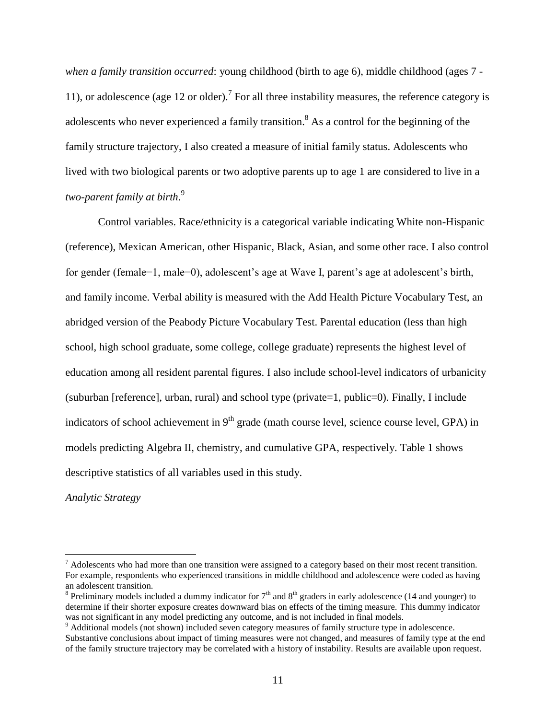*when a family transition occurred*: young childhood (birth to age 6), middle childhood (ages 7 - 11), or adolescence (age 12 or older).<sup>7</sup> For all three instability measures, the reference category is adolescents who never experienced a family transition.<sup>8</sup> As a control for the beginning of the family structure trajectory, I also created a measure of initial family status. Adolescents who lived with two biological parents or two adoptive parents up to age 1 are considered to live in a *two-parent family at birth*. 9

Control variables. Race/ethnicity is a categorical variable indicating White non-Hispanic (reference), Mexican American, other Hispanic, Black, Asian, and some other race. I also control for gender (female=1, male=0), adolescent's age at Wave I, parent's age at adolescent's birth, and family income. Verbal ability is measured with the Add Health Picture Vocabulary Test, an abridged version of the Peabody Picture Vocabulary Test. Parental education (less than high school, high school graduate, some college, college graduate) represents the highest level of education among all resident parental figures. I also include school-level indicators of urbanicity (suburban [reference], urban, rural) and school type (private=1, public=0). Finally, I include indicators of school achievement in  $9<sup>th</sup>$  grade (math course level, science course level, GPA) in models predicting Algebra II, chemistry, and cumulative GPA, respectively. Table 1 shows descriptive statistics of all variables used in this study.

*Analytic Strategy*

 $\overline{a}$ 

 $<sup>7</sup>$  Adolescents who had more than one transition were assigned to a category based on their most recent transition.</sup> For example, respondents who experienced transitions in middle childhood and adolescence were coded as having an adolescent transition.

<sup>&</sup>lt;sup>8</sup> Preliminary models included a dummy indicator for  $7<sup>th</sup>$  and  $8<sup>th</sup>$  graders in early adolescence (14 and younger) to determine if their shorter exposure creates downward bias on effects of the timing measure. This dummy indicator was not significant in any model predicting any outcome, and is not included in final models.

<sup>&</sup>lt;sup>9</sup> Additional models (not shown) included seven category measures of family structure type in adolescence. Substantive conclusions about impact of timing measures were not changed, and measures of family type at the end of the family structure trajectory may be correlated with a history of instability. Results are available upon request.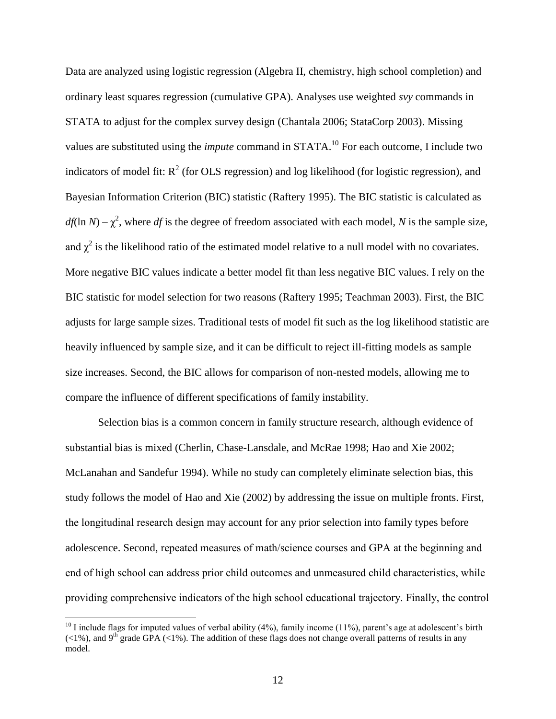Data are analyzed using logistic regression (Algebra II, chemistry, high school completion) and ordinary least squares regression (cumulative GPA). Analyses use weighted *svy* commands in STATA to adjust for the complex survey design (Chantala 2006; StataCorp 2003). Missing values are substituted using the *impute* command in STATA.<sup>10</sup> For each outcome, I include two indicators of model fit:  $R^2$  (for OLS regression) and log likelihood (for logistic regression), and Bayesian Information Criterion (BIC) statistic (Raftery 1995). The BIC statistic is calculated as  $df(\ln N) - \chi^2$ , where *df* is the degree of freedom associated with each model, *N* is the sample size, and  $\chi^2$  is the likelihood ratio of the estimated model relative to a null model with no covariates. More negative BIC values indicate a better model fit than less negative BIC values. I rely on the BIC statistic for model selection for two reasons (Raftery 1995; Teachman 2003). First, the BIC adjusts for large sample sizes. Traditional tests of model fit such as the log likelihood statistic are heavily influenced by sample size, and it can be difficult to reject ill-fitting models as sample size increases. Second, the BIC allows for comparison of non-nested models, allowing me to compare the influence of different specifications of family instability.

Selection bias is a common concern in family structure research, although evidence of substantial bias is mixed (Cherlin, Chase-Lansdale, and McRae 1998; Hao and Xie 2002; McLanahan and Sandefur 1994). While no study can completely eliminate selection bias, this study follows the model of Hao and Xie (2002) by addressing the issue on multiple fronts. First, the longitudinal research design may account for any prior selection into family types before adolescence. Second, repeated measures of math/science courses and GPA at the beginning and end of high school can address prior child outcomes and unmeasured child characteristics, while providing comprehensive indicators of the high school educational trajectory. Finally, the control

 $\overline{a}$ 

 $10$  I include flags for imputed values of verbal ability (4%), family income (11%), parent's age at adolescent's birth  $($  <1%), and 9<sup>th</sup> grade GPA (<1%). The addition of these flags does not change overall patterns of results in any model.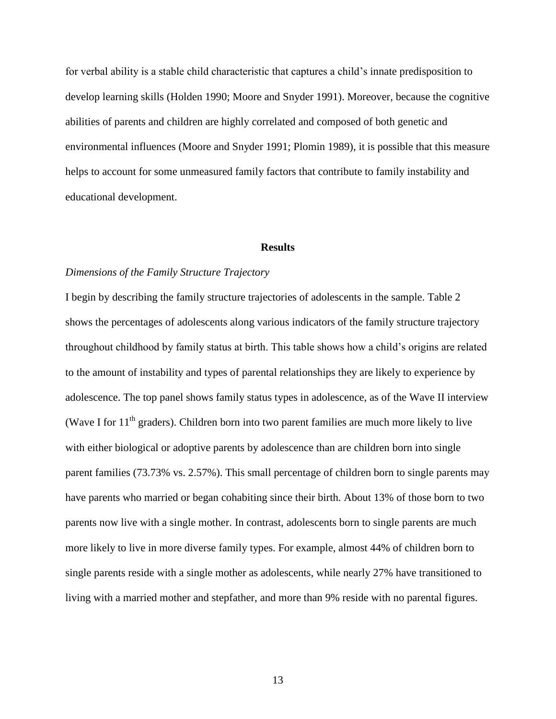for verbal ability is a stable child characteristic that captures a child's innate predisposition to develop learning skills (Holden 1990; Moore and Snyder 1991). Moreover, because the cognitive abilities of parents and children are highly correlated and composed of both genetic and environmental influences (Moore and Snyder 1991; Plomin 1989), it is possible that this measure helps to account for some unmeasured family factors that contribute to family instability and educational development.

#### **Results**

## *Dimensions of the Family Structure Trajectory*

I begin by describing the family structure trajectories of adolescents in the sample. Table 2 shows the percentages of adolescents along various indicators of the family structure trajectory throughout childhood by family status at birth. This table shows how a child's origins are related to the amount of instability and types of parental relationships they are likely to experience by adolescence. The top panel shows family status types in adolescence, as of the Wave II interview (Wave I for  $11<sup>th</sup>$  graders). Children born into two parent families are much more likely to live with either biological or adoptive parents by adolescence than are children born into single parent families (73.73% vs. 2.57%). This small percentage of children born to single parents may have parents who married or began cohabiting since their birth. About 13% of those born to two parents now live with a single mother. In contrast, adolescents born to single parents are much more likely to live in more diverse family types. For example, almost 44% of children born to single parents reside with a single mother as adolescents, while nearly 27% have transitioned to living with a married mother and stepfather, and more than 9% reside with no parental figures.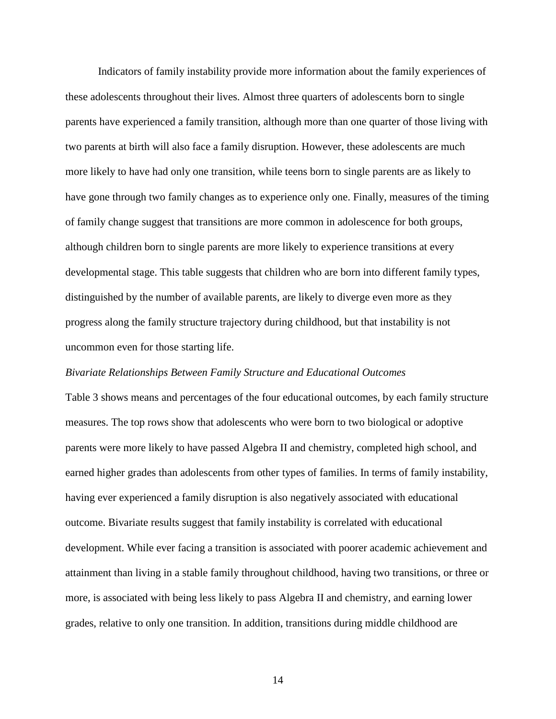Indicators of family instability provide more information about the family experiences of these adolescents throughout their lives. Almost three quarters of adolescents born to single parents have experienced a family transition, although more than one quarter of those living with two parents at birth will also face a family disruption. However, these adolescents are much more likely to have had only one transition, while teens born to single parents are as likely to have gone through two family changes as to experience only one. Finally, measures of the timing of family change suggest that transitions are more common in adolescence for both groups, although children born to single parents are more likely to experience transitions at every developmental stage. This table suggests that children who are born into different family types, distinguished by the number of available parents, are likely to diverge even more as they progress along the family structure trajectory during childhood, but that instability is not uncommon even for those starting life.

#### *Bivariate Relationships Between Family Structure and Educational Outcomes*

Table 3 shows means and percentages of the four educational outcomes, by each family structure measures. The top rows show that adolescents who were born to two biological or adoptive parents were more likely to have passed Algebra II and chemistry, completed high school, and earned higher grades than adolescents from other types of families. In terms of family instability, having ever experienced a family disruption is also negatively associated with educational outcome. Bivariate results suggest that family instability is correlated with educational development. While ever facing a transition is associated with poorer academic achievement and attainment than living in a stable family throughout childhood, having two transitions, or three or more, is associated with being less likely to pass Algebra II and chemistry, and earning lower grades, relative to only one transition. In addition, transitions during middle childhood are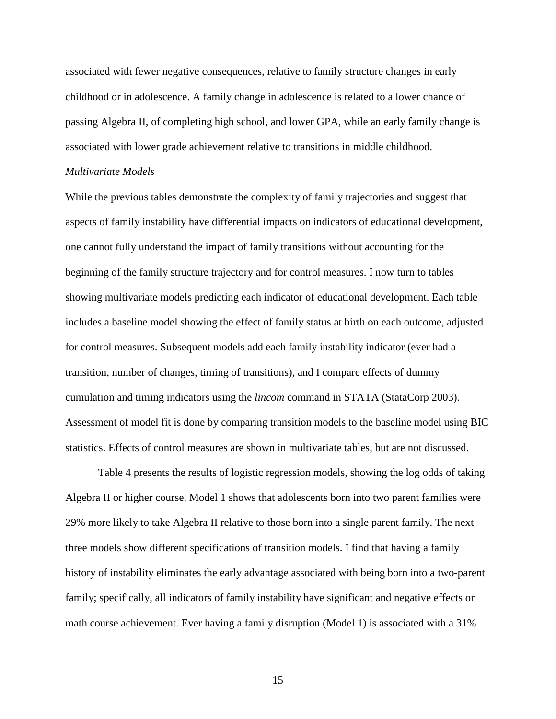associated with fewer negative consequences, relative to family structure changes in early childhood or in adolescence. A family change in adolescence is related to a lower chance of passing Algebra II, of completing high school, and lower GPA, while an early family change is associated with lower grade achievement relative to transitions in middle childhood.

#### *Multivariate Models*

While the previous tables demonstrate the complexity of family trajectories and suggest that aspects of family instability have differential impacts on indicators of educational development, one cannot fully understand the impact of family transitions without accounting for the beginning of the family structure trajectory and for control measures. I now turn to tables showing multivariate models predicting each indicator of educational development. Each table includes a baseline model showing the effect of family status at birth on each outcome, adjusted for control measures. Subsequent models add each family instability indicator (ever had a transition, number of changes, timing of transitions), and I compare effects of dummy cumulation and timing indicators using the *lincom* command in STATA (StataCorp 2003). Assessment of model fit is done by comparing transition models to the baseline model using BIC statistics. Effects of control measures are shown in multivariate tables, but are not discussed.

Table 4 presents the results of logistic regression models, showing the log odds of taking Algebra II or higher course. Model 1 shows that adolescents born into two parent families were 29% more likely to take Algebra II relative to those born into a single parent family. The next three models show different specifications of transition models. I find that having a family history of instability eliminates the early advantage associated with being born into a two-parent family; specifically, all indicators of family instability have significant and negative effects on math course achievement. Ever having a family disruption (Model 1) is associated with a 31%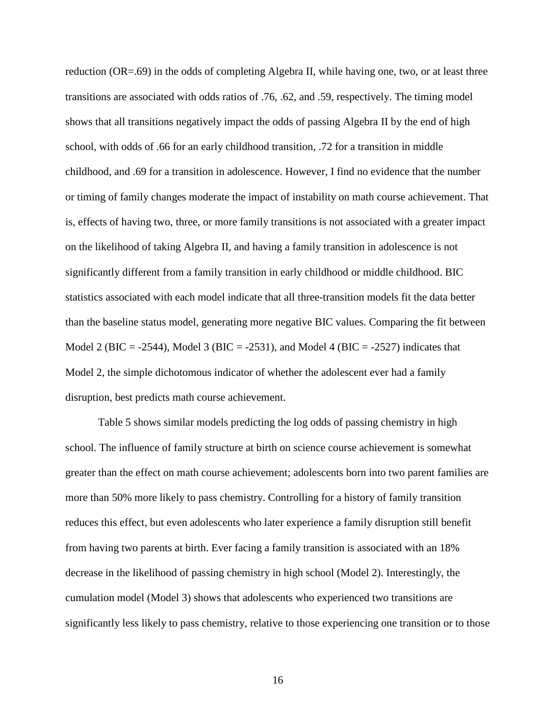reduction (OR=.69) in the odds of completing Algebra II, while having one, two, or at least three transitions are associated with odds ratios of .76, .62, and .59, respectively. The timing model shows that all transitions negatively impact the odds of passing Algebra II by the end of high school, with odds of .66 for an early childhood transition, .72 for a transition in middle childhood, and .69 for a transition in adolescence. However, I find no evidence that the number or timing of family changes moderate the impact of instability on math course achievement. That is, effects of having two, three, or more family transitions is not associated with a greater impact on the likelihood of taking Algebra II, and having a family transition in adolescence is not significantly different from a family transition in early childhood or middle childhood. BIC statistics associated with each model indicate that all three-transition models fit the data better than the baseline status model, generating more negative BIC values. Comparing the fit between Model 2 (BIC =  $-2544$ ), Model 3 (BIC =  $-2531$ ), and Model 4 (BIC =  $-2527$ ) indicates that Model 2, the simple dichotomous indicator of whether the adolescent ever had a family disruption, best predicts math course achievement.

Table 5 shows similar models predicting the log odds of passing chemistry in high school. The influence of family structure at birth on science course achievement is somewhat greater than the effect on math course achievement; adolescents born into two parent families are more than 50% more likely to pass chemistry. Controlling for a history of family transition reduces this effect, but even adolescents who later experience a family disruption still benefit from having two parents at birth. Ever facing a family transition is associated with an 18% decrease in the likelihood of passing chemistry in high school (Model 2). Interestingly, the cumulation model (Model 3) shows that adolescents who experienced two transitions are significantly less likely to pass chemistry, relative to those experiencing one transition or to those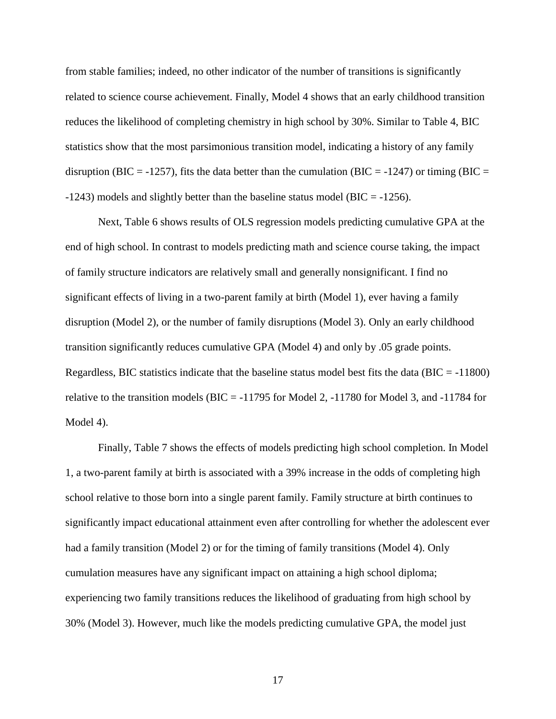from stable families; indeed, no other indicator of the number of transitions is significantly related to science course achievement. Finally, Model 4 shows that an early childhood transition reduces the likelihood of completing chemistry in high school by 30%. Similar to Table 4, BIC statistics show that the most parsimonious transition model, indicating a history of any family disruption (BIC = -1257), fits the data better than the cumulation (BIC = -1247) or timing (BIC = -1243) models and slightly better than the baseline status model (BIC = -1256).

Next, Table 6 shows results of OLS regression models predicting cumulative GPA at the end of high school. In contrast to models predicting math and science course taking, the impact of family structure indicators are relatively small and generally nonsignificant. I find no significant effects of living in a two-parent family at birth (Model 1), ever having a family disruption (Model 2), or the number of family disruptions (Model 3). Only an early childhood transition significantly reduces cumulative GPA (Model 4) and only by .05 grade points. Regardless, BIC statistics indicate that the baseline status model best fits the data (BIC = -11800) relative to the transition models (BIC  $= -11795$  for Model 2,  $-11780$  for Model 3, and  $-11784$  for Model 4).

Finally, Table 7 shows the effects of models predicting high school completion. In Model 1, a two-parent family at birth is associated with a 39% increase in the odds of completing high school relative to those born into a single parent family. Family structure at birth continues to significantly impact educational attainment even after controlling for whether the adolescent ever had a family transition (Model 2) or for the timing of family transitions (Model 4). Only cumulation measures have any significant impact on attaining a high school diploma; experiencing two family transitions reduces the likelihood of graduating from high school by 30% (Model 3). However, much like the models predicting cumulative GPA, the model just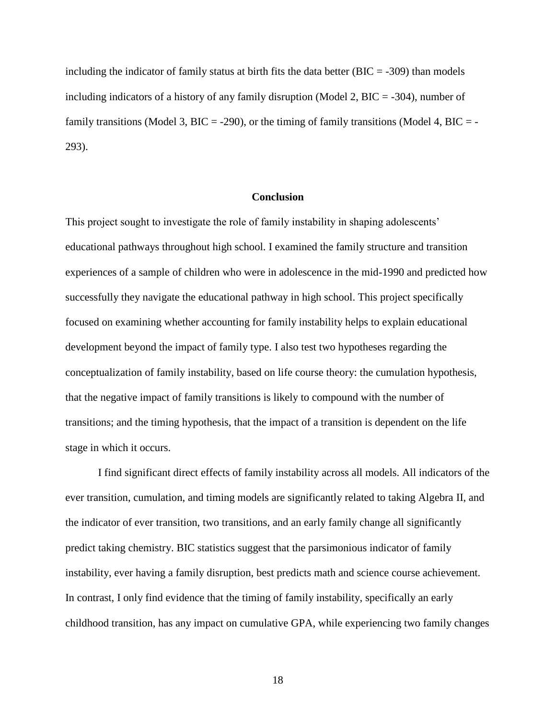including the indicator of family status at birth fits the data better ( $BIC = -309$ ) than models including indicators of a history of any family disruption (Model 2, BIC = -304), number of family transitions (Model 3,  $BIC = -290$ ), or the timing of family transitions (Model 4,  $BIC = -$ 293).

## **Conclusion**

This project sought to investigate the role of family instability in shaping adolescents' educational pathways throughout high school. I examined the family structure and transition experiences of a sample of children who were in adolescence in the mid-1990 and predicted how successfully they navigate the educational pathway in high school. This project specifically focused on examining whether accounting for family instability helps to explain educational development beyond the impact of family type. I also test two hypotheses regarding the conceptualization of family instability, based on life course theory: the cumulation hypothesis, that the negative impact of family transitions is likely to compound with the number of transitions; and the timing hypothesis, that the impact of a transition is dependent on the life stage in which it occurs.

I find significant direct effects of family instability across all models. All indicators of the ever transition, cumulation, and timing models are significantly related to taking Algebra II, and the indicator of ever transition, two transitions, and an early family change all significantly predict taking chemistry. BIC statistics suggest that the parsimonious indicator of family instability, ever having a family disruption, best predicts math and science course achievement. In contrast, I only find evidence that the timing of family instability, specifically an early childhood transition, has any impact on cumulative GPA, while experiencing two family changes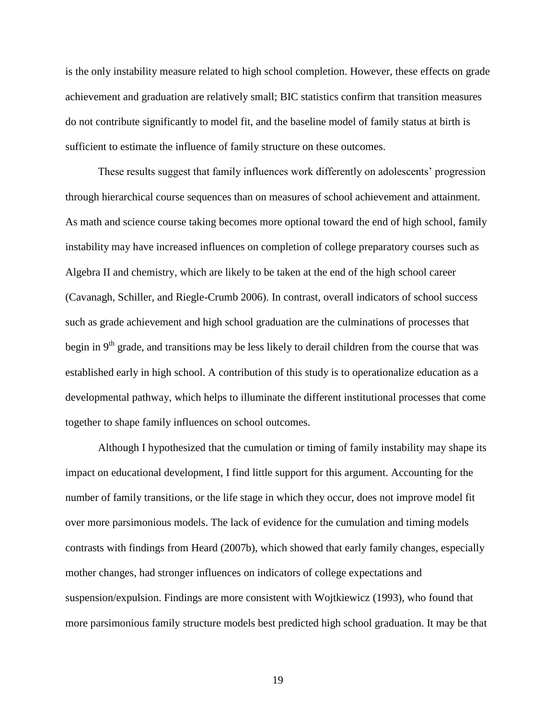is the only instability measure related to high school completion. However, these effects on grade achievement and graduation are relatively small; BIC statistics confirm that transition measures do not contribute significantly to model fit, and the baseline model of family status at birth is sufficient to estimate the influence of family structure on these outcomes.

These results suggest that family influences work differently on adolescents' progression through hierarchical course sequences than on measures of school achievement and attainment. As math and science course taking becomes more optional toward the end of high school, family instability may have increased influences on completion of college preparatory courses such as Algebra II and chemistry, which are likely to be taken at the end of the high school career (Cavanagh, Schiller, and Riegle-Crumb 2006). In contrast, overall indicators of school success such as grade achievement and high school graduation are the culminations of processes that begin in  $9<sup>th</sup>$  grade, and transitions may be less likely to derail children from the course that was established early in high school. A contribution of this study is to operationalize education as a developmental pathway, which helps to illuminate the different institutional processes that come together to shape family influences on school outcomes.

Although I hypothesized that the cumulation or timing of family instability may shape its impact on educational development, I find little support for this argument. Accounting for the number of family transitions, or the life stage in which they occur, does not improve model fit over more parsimonious models. The lack of evidence for the cumulation and timing models contrasts with findings from Heard (2007b), which showed that early family changes, especially mother changes, had stronger influences on indicators of college expectations and suspension/expulsion. Findings are more consistent with Wojtkiewicz (1993), who found that more parsimonious family structure models best predicted high school graduation. It may be that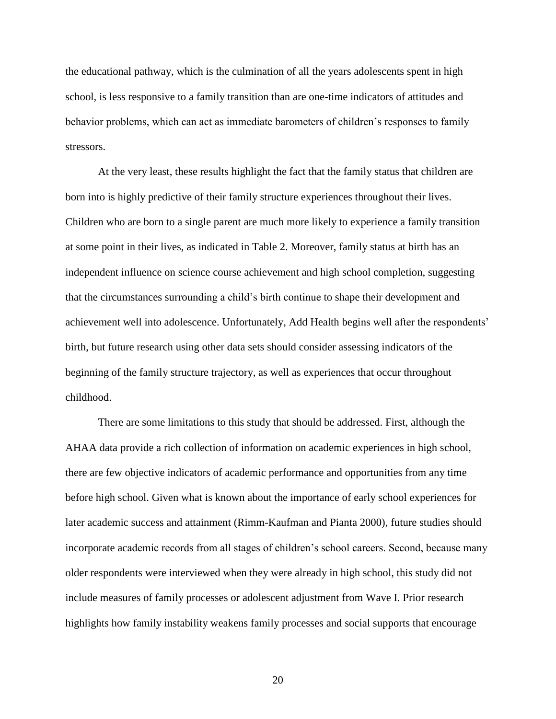the educational pathway, which is the culmination of all the years adolescents spent in high school, is less responsive to a family transition than are one-time indicators of attitudes and behavior problems, which can act as immediate barometers of children's responses to family stressors.

At the very least, these results highlight the fact that the family status that children are born into is highly predictive of their family structure experiences throughout their lives. Children who are born to a single parent are much more likely to experience a family transition at some point in their lives, as indicated in Table 2. Moreover, family status at birth has an independent influence on science course achievement and high school completion, suggesting that the circumstances surrounding a child's birth continue to shape their development and achievement well into adolescence. Unfortunately, Add Health begins well after the respondents' birth, but future research using other data sets should consider assessing indicators of the beginning of the family structure trajectory, as well as experiences that occur throughout childhood.

There are some limitations to this study that should be addressed. First, although the AHAA data provide a rich collection of information on academic experiences in high school, there are few objective indicators of academic performance and opportunities from any time before high school. Given what is known about the importance of early school experiences for later academic success and attainment (Rimm-Kaufman and Pianta 2000), future studies should incorporate academic records from all stages of children's school careers. Second, because many older respondents were interviewed when they were already in high school, this study did not include measures of family processes or adolescent adjustment from Wave I. Prior research highlights how family instability weakens family processes and social supports that encourage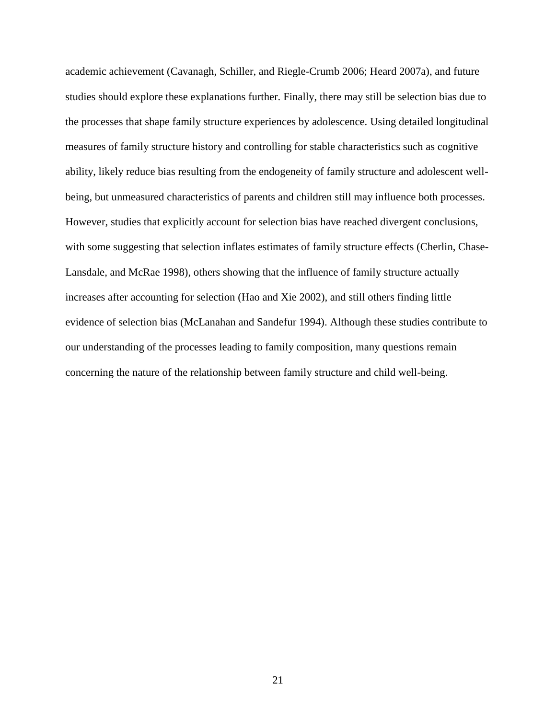academic achievement (Cavanagh, Schiller, and Riegle-Crumb 2006; Heard 2007a), and future studies should explore these explanations further. Finally, there may still be selection bias due to the processes that shape family structure experiences by adolescence. Using detailed longitudinal measures of family structure history and controlling for stable characteristics such as cognitive ability, likely reduce bias resulting from the endogeneity of family structure and adolescent wellbeing, but unmeasured characteristics of parents and children still may influence both processes. However, studies that explicitly account for selection bias have reached divergent conclusions, with some suggesting that selection inflates estimates of family structure effects (Cherlin, Chase-Lansdale, and McRae 1998), others showing that the influence of family structure actually increases after accounting for selection (Hao and Xie 2002), and still others finding little evidence of selection bias (McLanahan and Sandefur 1994). Although these studies contribute to our understanding of the processes leading to family composition, many questions remain concerning the nature of the relationship between family structure and child well-being.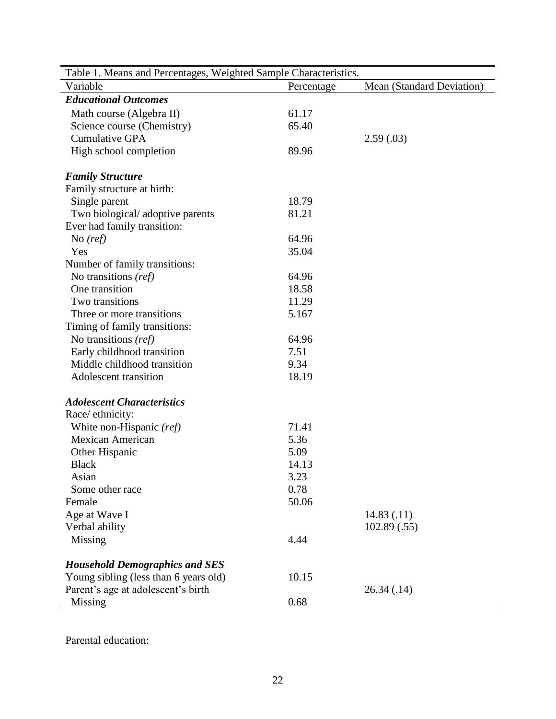| Table 1. Means and Percentages, Weighted Sample Characteristics. |            |                           |
|------------------------------------------------------------------|------------|---------------------------|
| Variable                                                         | Percentage | Mean (Standard Deviation) |
| <b>Educational Outcomes</b>                                      |            |                           |
| Math course (Algebra II)                                         | 61.17      |                           |
| Science course (Chemistry)                                       | 65.40      |                           |
| <b>Cumulative GPA</b>                                            |            | 2.59(.03)                 |
| High school completion                                           | 89.96      |                           |
|                                                                  |            |                           |
| <b>Family Structure</b>                                          |            |                           |
| Family structure at birth:                                       | 18.79      |                           |
| Single parent                                                    | 81.21      |                           |
| Two biological/adoptive parents<br>Ever had family transition:   |            |                           |
| No $(ref)$                                                       | 64.96      |                           |
| Yes                                                              | 35.04      |                           |
|                                                                  |            |                           |
| Number of family transitions:<br>No transitions (ref)            | 64.96      |                           |
| One transition                                                   | 18.58      |                           |
| Two transitions                                                  | 11.29      |                           |
| Three or more transitions                                        | 5.167      |                           |
| Timing of family transitions:                                    |            |                           |
| No transitions $(ref)$                                           | 64.96      |                           |
| Early childhood transition                                       | 7.51       |                           |
| Middle childhood transition                                      | 9.34       |                           |
| Adolescent transition                                            | 18.19      |                           |
|                                                                  |            |                           |
| <b>Adolescent Characteristics</b>                                |            |                           |
| Race/ ethnicity:                                                 |            |                           |
| White non-Hispanic (ref)                                         | 71.41      |                           |
| <b>Mexican American</b>                                          | 5.36       |                           |
| Other Hispanic                                                   | 5.09       |                           |
| <b>Black</b>                                                     | 14.13      |                           |
| Asian                                                            | 3.23       |                           |
| Some other race                                                  | 0.78       |                           |
| Female                                                           | 50.06      |                           |
| Age at Wave I                                                    |            | 14.83(0.11)               |
| Verbal ability                                                   |            | 102.89(.55)               |
| Missing                                                          | 4.44       |                           |
| <b>Household Demographics and SES</b>                            |            |                           |
| Young sibling (less than 6 years old)                            | 10.15      |                           |
| Parent's age at adolescent's birth                               |            | 26.34(.14)                |
| Missing                                                          | 0.68       |                           |

Parental education: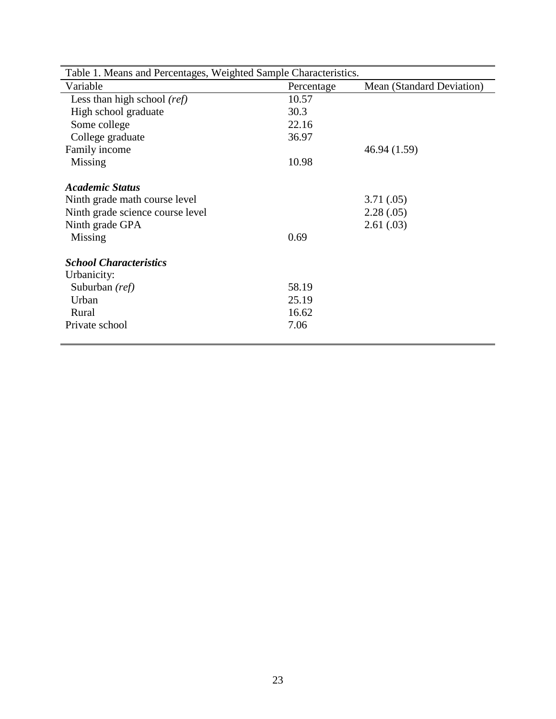| Table 1. Means and Percentages, Weighted Sample Characteristics. |            |                           |  |  |  |
|------------------------------------------------------------------|------------|---------------------------|--|--|--|
| Variable                                                         | Percentage | Mean (Standard Deviation) |  |  |  |
| Less than high school $(ref)$                                    | 10.57      |                           |  |  |  |
| High school graduate                                             | 30.3       |                           |  |  |  |
| Some college                                                     | 22.16      |                           |  |  |  |
| College graduate                                                 | 36.97      |                           |  |  |  |
| Family income                                                    |            | 46.94 (1.59)              |  |  |  |
| Missing                                                          | 10.98      |                           |  |  |  |
|                                                                  |            |                           |  |  |  |
| <b>Academic Status</b>                                           |            |                           |  |  |  |
| Ninth grade math course level                                    |            | 3.71(.05)                 |  |  |  |
| Ninth grade science course level                                 |            | 2.28(.05)                 |  |  |  |
| Ninth grade GPA                                                  |            | 2.61(.03)                 |  |  |  |
| Missing                                                          | 0.69       |                           |  |  |  |
|                                                                  |            |                           |  |  |  |
| <b>School Characteristics</b>                                    |            |                           |  |  |  |
| Urbanicity:                                                      |            |                           |  |  |  |
| Suburban (ref)                                                   | 58.19      |                           |  |  |  |
| Urban                                                            | 25.19      |                           |  |  |  |
| Rural                                                            | 16.62      |                           |  |  |  |
| Private school                                                   | 7.06       |                           |  |  |  |
|                                                                  |            |                           |  |  |  |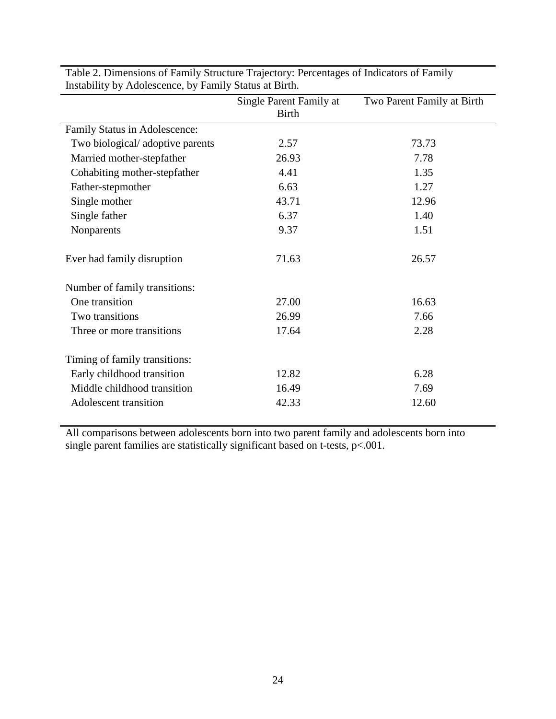|                                 | Single Parent Family at<br><b>Birth</b> | Two Parent Family at Birth |
|---------------------------------|-----------------------------------------|----------------------------|
| Family Status in Adolescence:   |                                         |                            |
| Two biological/adoptive parents | 2.57                                    | 73.73                      |
| Married mother-stepfather       | 26.93                                   | 7.78                       |
| Cohabiting mother-stepfather    | 4.41                                    | 1.35                       |
| Father-stepmother               | 6.63                                    | 1.27                       |
| Single mother                   | 43.71                                   | 12.96                      |
| Single father                   | 6.37                                    | 1.40                       |
| Nonparents                      | 9.37                                    | 1.51                       |
| Ever had family disruption      | 71.63                                   | 26.57                      |
| Number of family transitions:   |                                         |                            |
| One transition                  | 27.00                                   | 16.63                      |
| Two transitions                 | 26.99                                   | 7.66                       |
| Three or more transitions       | 17.64                                   | 2.28                       |
| Timing of family transitions:   |                                         |                            |
| Early childhood transition      | 12.82                                   | 6.28                       |
| Middle childhood transition     | 16.49                                   | 7.69                       |
| Adolescent transition           | 42.33                                   | 12.60                      |

Table 2. Dimensions of Family Structure Trajectory: Percentages of Indicators of Family Instability by Adolescence, by Family Status at Birth.

All comparisons between adolescents born into two parent family and adolescents born into single parent families are statistically significant based on t-tests, p<.001.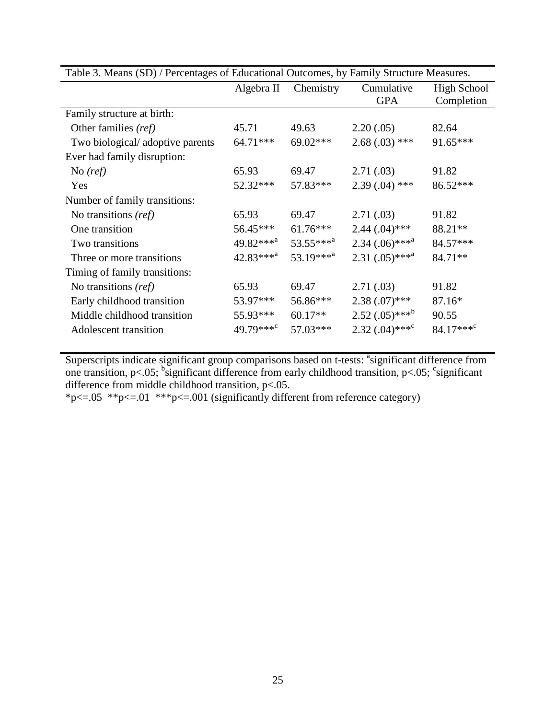| Table 5. Means (SD) / Percentages of Educational Outcomes, by Family Structure Measures. |                       |              |                               |                       |  |
|------------------------------------------------------------------------------------------|-----------------------|--------------|-------------------------------|-----------------------|--|
|                                                                                          | Algebra II            | Chemistry    | Cumulative                    | High School           |  |
|                                                                                          |                       |              | <b>GPA</b>                    | Completion            |  |
| Family structure at birth:                                                               |                       |              |                               |                       |  |
| Other families (ref)                                                                     | 45.71                 | 49.63        | 2.20(.05)                     | 82.64                 |  |
| Two biological/adoptive parents                                                          | $64.71***$            | 69.02***     | $2.68(.03)$ ***               | 91.65***              |  |
| Ever had family disruption:                                                              |                       |              |                               |                       |  |
| No $(ref)$                                                                               | 65.93                 | 69.47        | 2.71(0.03)                    | 91.82                 |  |
| <b>Yes</b>                                                                               | 52.32***              | 57.83***     | $2.39(.04)$ ***               | 86.52***              |  |
| Number of family transitions:                                                            |                       |              |                               |                       |  |
| No transitions (ref)                                                                     | 65.93                 | 69.47        | 2.71(0.03)                    | 91.82                 |  |
| One transition                                                                           | 56.45***              | $61.76***$   | $2.44(.04)$ ***               | 88.21**               |  |
| Two transitions                                                                          | 49.82*** <sup>a</sup> | $53.55***^a$ | $2.34(.06)$ *** <sup>a</sup>  | 84.57***              |  |
| Three or more transitions                                                                | $42.83***^{a}$        | $53.19***a$  | $2.31(.05)***^a$              | $84.71**$             |  |
| Timing of family transitions:                                                            |                       |              |                               |                       |  |
| No transitions $(ref)$                                                                   | 65.93                 | 69.47        | 2.71(0.03)                    | 91.82                 |  |
| Early childhood transition                                                               | 53.97***              | 56.86***     | $2.38(0.07)$ ***              | 87.16*                |  |
| Middle childhood transition                                                              | 55.93***              | $60.17**$    | $2.52(.05)$ *** <sup>b</sup>  | 90.55                 |  |
| Adolescent transition                                                                    | 49.79*** <sup>c</sup> | 57.03***     | $2.32(0.04)$ *** <sup>c</sup> | 84.17*** <sup>c</sup> |  |
|                                                                                          |                       |              |                               |                       |  |

Table 3. Means (SD) / Percentages of Educational Outcomes, by Family Structure Measures.

Superscripts indicate significant group comparisons based on t-tests: <sup>a</sup>significant difference from one transition,  $p<.05$ ;  $\frac{b}{s}$  significant difference from early childhood transition,  $p<.05$ ;  $\frac{c}{s}$  significant difference from middle childhood transition,  $p < 0.05$ .

\*p $\leq$ =.05 \*\*p $\leq$ =.01 \*\*\*p $\leq$ =.001 (significantly different from reference category)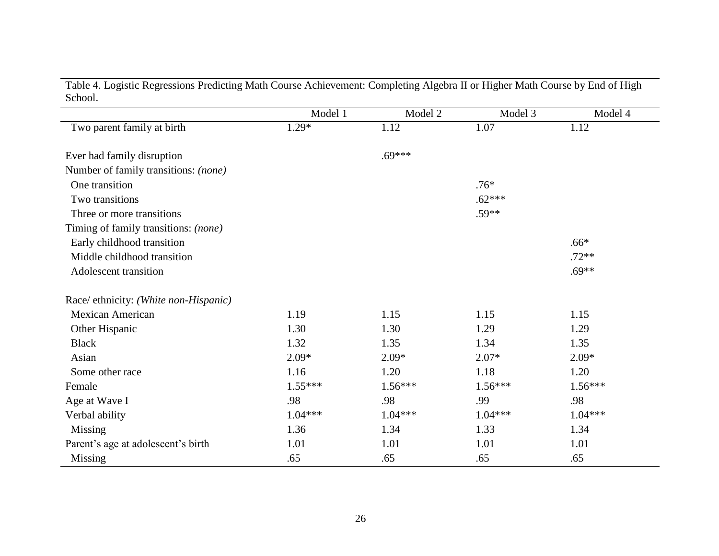Table 4. Logistic Regressions Predicting Math Course Achievement: Completing Algebra II or Higher Math Course by End of High School.

|                                       | Model 1   | Model 2   | Model 3   | Model 4   |
|---------------------------------------|-----------|-----------|-----------|-----------|
| Two parent family at birth            | $1.29*$   | 1.12      | 1.07      | 1.12      |
|                                       |           |           |           |           |
| Ever had family disruption            |           | $.69***$  |           |           |
| Number of family transitions: (none)  |           |           |           |           |
| One transition                        |           |           | $.76*$    |           |
| Two transitions                       |           |           | $.62***$  |           |
| Three or more transitions             |           |           | $.59**$   |           |
| Timing of family transitions: (none)  |           |           |           |           |
| Early childhood transition            |           |           |           | $.66*$    |
| Middle childhood transition           |           |           |           | $.72**$   |
| <b>Adolescent transition</b>          |           |           |           | $.69**$   |
| Race/ ethnicity: (White non-Hispanic) |           |           |           |           |
| <b>Mexican American</b>               | 1.19      | 1.15      | 1.15      | 1.15      |
| Other Hispanic                        | 1.30      | 1.30      | 1.29      | 1.29      |
| <b>Black</b>                          | 1.32      | 1.35      | 1.34      | 1.35      |
| Asian                                 | $2.09*$   | $2.09*$   | $2.07*$   | $2.09*$   |
| Some other race                       | 1.16      | 1.20      | 1.18      | 1.20      |
| Female                                | $1.55***$ | $1.56***$ | $1.56***$ | $1.56***$ |
| Age at Wave I                         | .98       | .98       | .99       | .98       |
| Verbal ability                        | $1.04***$ | $1.04***$ | $1.04***$ | $1.04***$ |
| Missing                               | 1.36      | 1.34      | 1.33      | 1.34      |
| Parent's age at adolescent's birth    | 1.01      | 1.01      | 1.01      | 1.01      |
| Missing                               | .65       | .65       | .65       | .65       |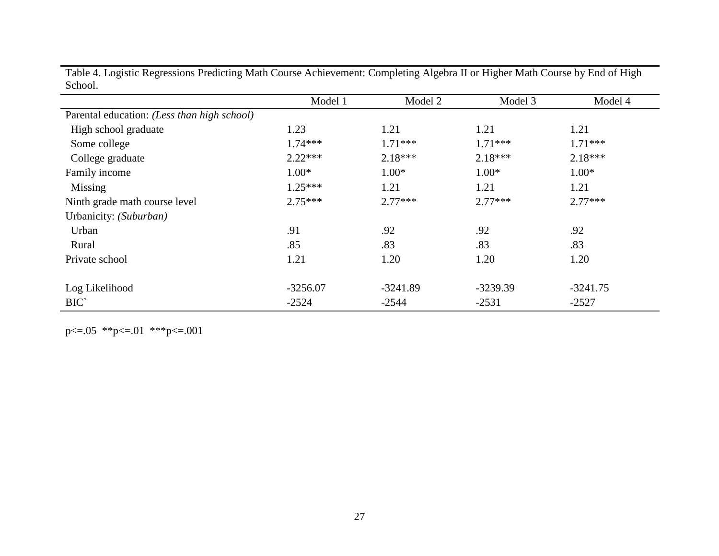|                                             | Model 1    | Model 2    | Model 3    | Model 4    |
|---------------------------------------------|------------|------------|------------|------------|
| Parental education: (Less than high school) |            |            |            |            |
| High school graduate                        | 1.23       | 1.21       | 1.21       | 1.21       |
| Some college                                | $1.74***$  | $1.71***$  | $1.71***$  | $1.71***$  |
| College graduate                            | $2.22***$  | $2.18***$  | $2.18***$  | $2.18***$  |
| Family income                               | $1.00*$    | $1.00*$    | $1.00*$    | $1.00*$    |
| Missing                                     | $1.25***$  | 1.21       | 1.21       | 1.21       |
| Ninth grade math course level               | $2.75***$  | $2.77***$  | $2.77***$  | $2.77***$  |
| Urbanicity: (Suburban)                      |            |            |            |            |
| Urban                                       | .91        | .92        | .92        | .92        |
| Rural                                       | .85        | .83        | .83        | .83        |
| Private school                              | 1.21       | 1.20       | 1.20       | 1.20       |
|                                             |            |            |            |            |
| Log Likelihood                              | $-3256.07$ | $-3241.89$ | $-3239.39$ | $-3241.75$ |
| BIC                                         | $-2524$    | $-2544$    | $-2531$    | $-2527$    |

Table 4. Logistic Regressions Predicting Math Course Achievement: Completing Algebra II or Higher Math Course by End of High School.

p<=.05 \*\*p<=.01 \*\*\*p<=.001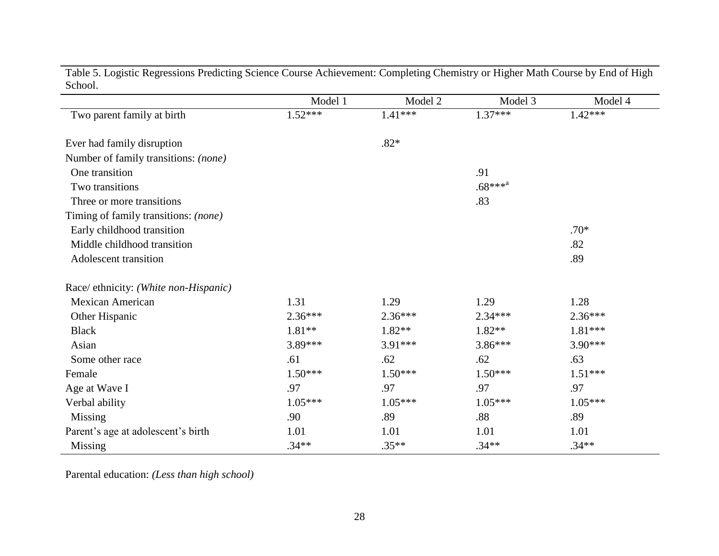Table 5. Logistic Regressions Predicting Science Course Achievement: Completing Chemistry or Higher Math Course by End of High School.

|                                       | Model 1   | Model 2   | Model 3      | Model 4   |
|---------------------------------------|-----------|-----------|--------------|-----------|
| Two parent family at birth            | $1.52***$ | $1.41***$ | $1.37***$    | $1.42***$ |
|                                       |           |           |              |           |
| Ever had family disruption            |           | $.82*$    |              |           |
| Number of family transitions: (none)  |           |           |              |           |
| One transition                        |           |           | .91          |           |
| Two transitions                       |           |           | $.68***^{a}$ |           |
| Three or more transitions             |           |           | .83          |           |
| Timing of family transitions: (none)  |           |           |              |           |
| Early childhood transition            |           |           |              | $.70*$    |
| Middle childhood transition           |           |           |              | .82       |
| Adolescent transition                 |           |           |              | .89       |
| Race/ ethnicity: (White non-Hispanic) |           |           |              |           |
| <b>Mexican American</b>               | 1.31      | 1.29      | 1.29         | 1.28      |
| Other Hispanic                        | 2.36***   | $2.36***$ | $2.34***$    | $2.36***$ |
| <b>Black</b>                          | $1.81**$  | $1.82**$  | $1.82**$     | $1.81***$ |
| Asian                                 | 3.89***   | $3.91***$ | $3.86***$    | 3.90***   |
| Some other race                       | .61       | .62       | .62          | .63       |
| Female                                | $1.50***$ | $1.50***$ | $1.50***$    | $1.51***$ |
| Age at Wave I                         | .97       | .97       | .97          | .97       |
| Verbal ability                        | $1.05***$ | $1.05***$ | $1.05***$    | $1.05***$ |
| <b>Missing</b>                        | .90       | .89       | .88          | .89       |
| Parent's age at adolescent's birth    | 1.01      | 1.01      | 1.01         | 1.01      |
| Missing                               | $.34**$   | $.35**$   | $.34**$      | $.34**$   |

Parental education: *(Less than high school)*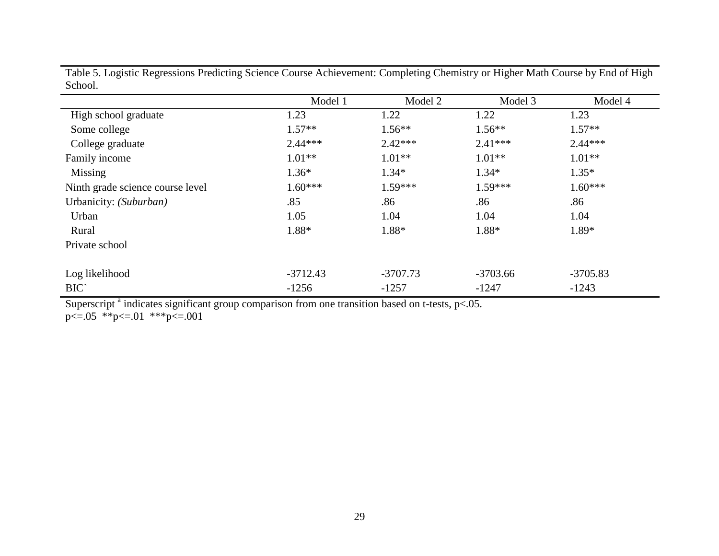Table 5. Logistic Regressions Predicting Science Course Achievement: Completing Chemistry or Higher Math Course by End of High School.

|                                  | Model 1    | Model 2    | Model 3    | Model 4    |
|----------------------------------|------------|------------|------------|------------|
| High school graduate             | 1.23       | 1.22       | 1.22       | 1.23       |
| Some college                     | $1.57**$   | $1.56**$   | $1.56**$   | $1.57**$   |
| College graduate                 | $2.44***$  | $2.42***$  | $2.41***$  | $2.44***$  |
| Family income                    | $1.01**$   | $1.01**$   | $1.01**$   | $1.01**$   |
| Missing                          | $1.36*$    | $1.34*$    | $1.34*$    | $1.35*$    |
| Ninth grade science course level | $1.60***$  | $1.59***$  | $1.59***$  | $1.60***$  |
| Urbanicity: (Suburban)           | .85        | .86        | .86        | .86        |
| Urban                            | 1.05       | 1.04       | 1.04       | 1.04       |
| Rural                            | 1.88*      | 1.88*      | 1.88*      | 1.89*      |
| Private school                   |            |            |            |            |
|                                  |            |            |            |            |
| Log likelihood                   | $-3712.43$ | $-3707.73$ | $-3703.66$ | $-3705.83$ |
| BIC                              | $-1256$    | $-1257$    | $-1247$    | $-1243$    |

Superscript<sup>a</sup> indicates significant group comparison from one transition based on t-tests,  $p<.05$ .

 $p \leq 0.05$  \*\*p $\leq 0.01$  \*\*\*p $\leq 0.001$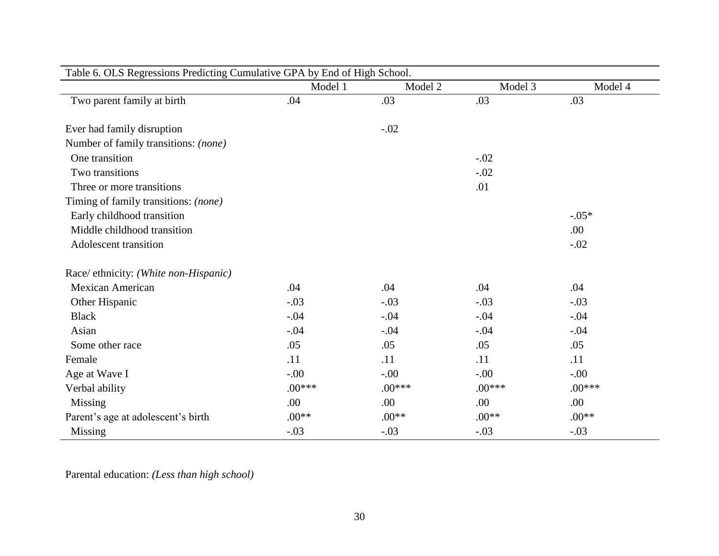| Table 6. OLS Regressions Predicting Cumulative GPA by End of High School. |          |          |          |          |  |
|---------------------------------------------------------------------------|----------|----------|----------|----------|--|
|                                                                           | Model 1  | Model 2  | Model 3  | Model 4  |  |
| Two parent family at birth                                                | .04      | .03      | .03      | .03      |  |
|                                                                           |          |          |          |          |  |
| Ever had family disruption                                                |          | $-.02$   |          |          |  |
| Number of family transitions: (none)                                      |          |          |          |          |  |
| One transition                                                            |          |          | $-.02$   |          |  |
| Two transitions                                                           |          |          | $-.02$   |          |  |
| Three or more transitions                                                 |          |          | .01      |          |  |
| Timing of family transitions: (none)                                      |          |          |          |          |  |
| Early childhood transition                                                |          |          |          | $-.05*$  |  |
| Middle childhood transition                                               |          |          |          | .00      |  |
| Adolescent transition                                                     |          |          |          | $-.02$   |  |
|                                                                           |          |          |          |          |  |
| Race/ ethnicity: (White non-Hispanic)                                     |          |          |          |          |  |
| <b>Mexican American</b>                                                   | .04      | .04      | .04      | .04      |  |
| Other Hispanic                                                            | $-.03$   | $-.03$   | $-.03$   | $-.03$   |  |
| <b>Black</b>                                                              | $-.04$   | $-.04$   | $-.04$   | $-.04$   |  |
| Asian                                                                     | $-.04$   | $-.04$   | $-.04$   | $-.04$   |  |
| Some other race                                                           | .05      | .05      | .05      | .05      |  |
| Female                                                                    | .11      | .11      | .11      | .11      |  |
| Age at Wave I                                                             | $-.00$   | $-0.00$  | $-.00$   | $-.00.$  |  |
| Verbal ability                                                            | $.00***$ | $.00***$ | $.00***$ | $.00***$ |  |
| Missing                                                                   | .00      | .00      | .00      | .00      |  |
| Parent's age at adolescent's birth                                        | $.00**$  | $.00**$  | $.00**$  | $.00**$  |  |
| Missing                                                                   | $-.03$   | $-.03$   | $-.03$   | $-.03$   |  |

Parental education: *(Less than high school)*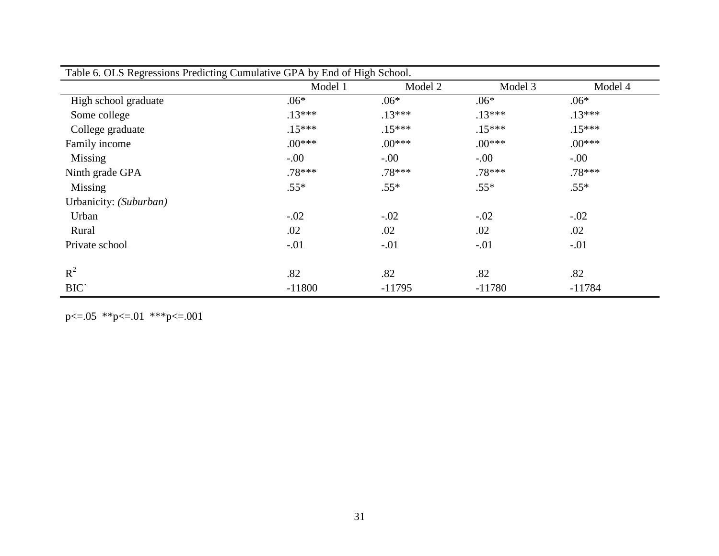| Table 6. OLS Regressions Predicting Cumulative GPA by End of High School. |          |          |          |          |
|---------------------------------------------------------------------------|----------|----------|----------|----------|
|                                                                           | Model 1  | Model 2  | Model 3  | Model 4  |
| High school graduate                                                      | $.06*$   | $.06*$   | $.06*$   | $.06*$   |
| Some college                                                              | $.13***$ | $.13***$ | $.13***$ | $.13***$ |
| College graduate                                                          | $.15***$ | $.15***$ | $.15***$ | $.15***$ |
| Family income                                                             | $.00***$ | $.00***$ | $.00***$ | $.00***$ |
| Missing                                                                   | $-.00$   | $-0.00$  | $-.00$   | $-.00$   |
| Ninth grade GPA                                                           | $.78***$ | $.78***$ | $.78***$ | $.78***$ |
| Missing                                                                   | $.55*$   | $.55*$   | $.55*$   | $.55*$   |
| Urbanicity: (Suburban)                                                    |          |          |          |          |
| Urban                                                                     | $-.02$   | $-.02$   | $-.02$   | $-.02$   |
| Rural                                                                     | .02      | .02      | .02      | .02      |
| Private school                                                            | $-.01$   | $-.01$   | $-.01$   | $-.01$   |
|                                                                           |          |          |          |          |
| $R^2$                                                                     | .82      | .82      | .82      | .82      |
| BIC`                                                                      | $-11800$ | $-11795$ | $-11780$ | $-11784$ |

 $p \le 0.05$  \*\*p $\le 0.01$  \*\*\*p $\le 0.001$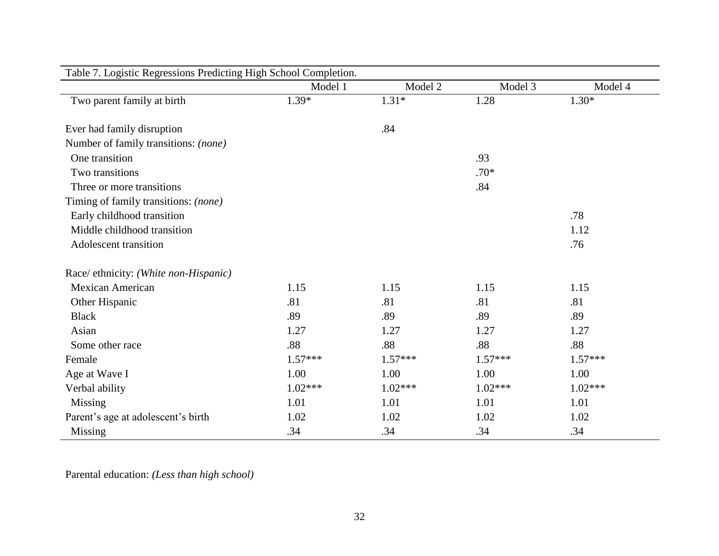| Table 7. Logistic Regressions Predicting High School Completion. |           |           |           |           |  |
|------------------------------------------------------------------|-----------|-----------|-----------|-----------|--|
|                                                                  | Model 1   | Model 2   | Model 3   | Model 4   |  |
| Two parent family at birth                                       | $1.39*$   | $1.31*$   | 1.28      | $1.30*$   |  |
|                                                                  |           |           |           |           |  |
| Ever had family disruption                                       |           | $.84\,$   |           |           |  |
| Number of family transitions: (none)                             |           |           |           |           |  |
| One transition                                                   |           |           | .93       |           |  |
| Two transitions                                                  |           |           | $.70*$    |           |  |
| Three or more transitions                                        |           |           | .84       |           |  |
| Timing of family transitions: (none)                             |           |           |           |           |  |
| Early childhood transition                                       |           |           |           | .78       |  |
| Middle childhood transition                                      |           |           |           | 1.12      |  |
| Adolescent transition                                            |           |           |           | .76       |  |
|                                                                  |           |           |           |           |  |
| Race/ ethnicity: (White non-Hispanic)                            |           |           |           |           |  |
| <b>Mexican American</b>                                          | 1.15      | 1.15      | 1.15      | 1.15      |  |
| Other Hispanic                                                   | .81       | .81       | .81       | .81       |  |
| <b>Black</b>                                                     | .89       | .89       | .89       | .89       |  |
| Asian                                                            | 1.27      | 1.27      | 1.27      | 1.27      |  |
| Some other race                                                  | .88       | .88       | .88       | .88       |  |
| Female                                                           | $1.57***$ | $1.57***$ | $1.57***$ | $1.57***$ |  |
| Age at Wave I                                                    | 1.00      | 1.00      | 1.00      | 1.00      |  |
| Verbal ability                                                   | $1.02***$ | $1.02***$ | $1.02***$ | $1.02***$ |  |
| Missing                                                          | 1.01      | 1.01      | 1.01      | 1.01      |  |
| Parent's age at adolescent's birth                               | 1.02      | 1.02      | 1.02      | 1.02      |  |
| Missing                                                          | .34       | .34       | .34       | .34       |  |

Parental education: *(Less than high school)*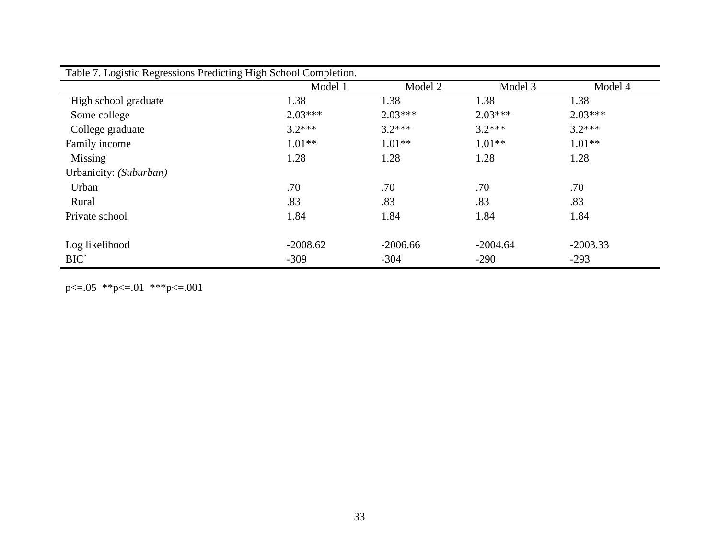| Table 7. Logistic Regressions Predicting High School Completion. |            |            |            |            |
|------------------------------------------------------------------|------------|------------|------------|------------|
|                                                                  | Model 1    | Model 2    | Model 3    | Model 4    |
| High school graduate                                             | 1.38       | 1.38       | 1.38       | 1.38       |
| Some college                                                     | $2.03***$  | $2.03***$  | $2.03***$  | $2.03***$  |
| College graduate                                                 | $3.2***$   | $3.2***$   | $3.2***$   | $3.2***$   |
| Family income                                                    | $1.01**$   | $1.01**$   | $1.01**$   | $1.01**$   |
| Missing                                                          | 1.28       | 1.28       | 1.28       | 1.28       |
| Urbanicity: (Suburban)                                           |            |            |            |            |
| Urban                                                            | .70        | .70        | .70        | .70        |
| Rural                                                            | .83        | .83        | .83        | .83        |
| Private school                                                   | 1.84       | 1.84       | 1.84       | 1.84       |
| Log likelihood                                                   | $-2008.62$ | $-2006.66$ | $-2004.64$ | $-2003.33$ |
| BIC                                                              | $-309$     | $-304$     | $-290$     | $-293$     |

 $p \le 0.05$  \*\*p $\le 0.01$  \*\*\*p $\le 0.001$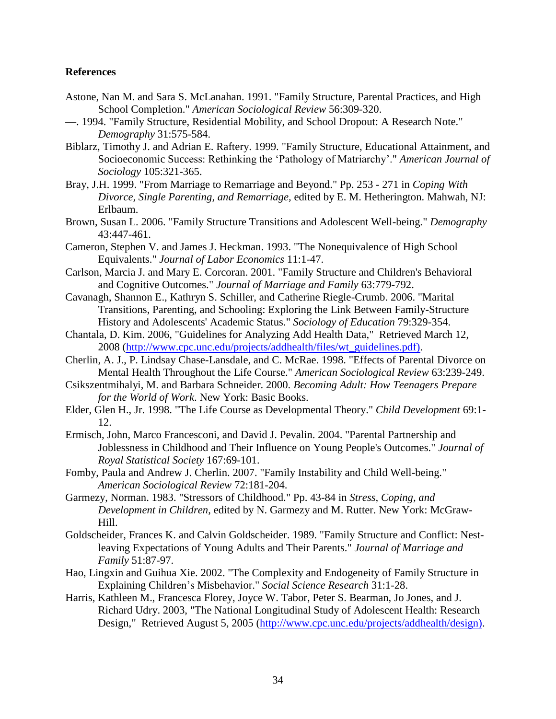## **References**

- Astone, Nan M. and Sara S. McLanahan. 1991. "Family Structure, Parental Practices, and High School Completion." *American Sociological Review* 56:309-320.
- —. 1994. "Family Structure, Residential Mobility, and School Dropout: A Research Note." *Demography* 31:575-584.
- Biblarz, Timothy J. and Adrian E. Raftery. 1999. "Family Structure, Educational Attainment, and Socioeconomic Success: Rethinking the 'Pathology of Matriarchy'." *American Journal of Sociology* 105:321-365.
- Bray, J.H. 1999. "From Marriage to Remarriage and Beyond." Pp. 253 271 in *Coping With Divorce, Single Parenting, and Remarriage,* edited by E. M. Hetherington. Mahwah, NJ: Erlbaum.
- Brown, Susan L. 2006. "Family Structure Transitions and Adolescent Well-being." *Demography* 43:447-461.
- Cameron, Stephen V. and James J. Heckman. 1993. "The Nonequivalence of High School Equivalents." *Journal of Labor Economics* 11:1-47.
- Carlson, Marcia J. and Mary E. Corcoran. 2001. "Family Structure and Children's Behavioral and Cognitive Outcomes." *Journal of Marriage and Family* 63:779-792.
- Cavanagh, Shannon E., Kathryn S. Schiller, and Catherine Riegle-Crumb. 2006. "Marital Transitions, Parenting, and Schooling: Exploring the Link Between Family-Structure History and Adolescents' Academic Status." *Sociology of Education* 79:329-354.
- Chantala, D. Kim. 2006, "Guidelines for Analyzing Add Health Data," Retrieved March 12, 2008 [\(http://www.cpc.unc.edu/projects/addhealth/files/wt\\_guidelines.pdf\).](http://www.cpc.unc.edu/projects/addhealth/files/wt_guidelines.pdf))
- Cherlin, A. J., P. Lindsay Chase-Lansdale, and C. McRae. 1998. "Effects of Parental Divorce on Mental Health Throughout the Life Course." *American Sociological Review* 63:239-249.
- Csikszentmihalyi, M. and Barbara Schneider. 2000. *Becoming Adult: How Teenagers Prepare for the World of Work*. New York: Basic Books.
- Elder, Glen H., Jr. 1998. "The Life Course as Developmental Theory." *Child Development* 69:1- 12.
- Ermisch, John, Marco Francesconi, and David J. Pevalin. 2004. "Parental Partnership and Joblessness in Childhood and Their Influence on Young People's Outcomes." *Journal of Royal Statistical Society* 167:69-101.
- Fomby, Paula and Andrew J. Cherlin. 2007. "Family Instability and Child Well-being." *American Sociological Review* 72:181-204.
- Garmezy, Norman. 1983. "Stressors of Childhood." Pp. 43-84 in *Stress, Coping, and Development in Children*, edited by N. Garmezy and M. Rutter. New York: McGraw-Hill.
- Goldscheider, Frances K. and Calvin Goldscheider. 1989. "Family Structure and Conflict: Nestleaving Expectations of Young Adults and Their Parents." *Journal of Marriage and Family* 51:87-97.
- Hao, Lingxin and Guihua Xie. 2002. "The Complexity and Endogeneity of Family Structure in Explaining Children's Misbehavior." *Social Science Research* 31:1-28.
- Harris, Kathleen M., Francesca Florey, Joyce W. Tabor, Peter S. Bearman, Jo Jones, and J. Richard Udry. 2003, "The National Longitudinal Study of Adolescent Health: Research Design," Retrieved August 5, 2005 [\(http://www.cpc.unc.edu/projects/addhealth/design\).](http://www.cpc.unc.edu/projects/addhealth/design))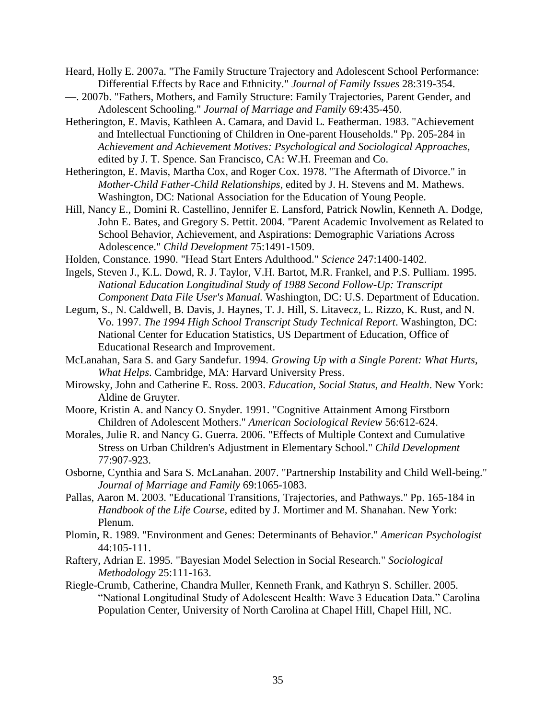Heard, Holly E. 2007a. "The Family Structure Trajectory and Adolescent School Performance: Differential Effects by Race and Ethnicity." *Journal of Family Issues* 28:319-354.

- —. 2007b. "Fathers, Mothers, and Family Structure: Family Trajectories, Parent Gender, and Adolescent Schooling." *Journal of Marriage and Family* 69:435-450.
- Hetherington, E. Mavis, Kathleen A. Camara, and David L. Featherman. 1983. "Achievement and Intellectual Functioning of Children in One-parent Households." Pp. 205-284 in *Achievement and Achievement Motives: Psychological and Sociological Approaches*, edited by J. T. Spence. San Francisco, CA: W.H. Freeman and Co.
- Hetherington, E. Mavis, Martha Cox, and Roger Cox. 1978. "The Aftermath of Divorce." in *Mother-Child Father-Child Relationships*, edited by J. H. Stevens and M. Mathews. Washington, DC: National Association for the Education of Young People.
- Hill, Nancy E., Domini R. Castellino, Jennifer E. Lansford, Patrick Nowlin, Kenneth A. Dodge, John E. Bates, and Gregory S. Pettit. 2004. "Parent Academic Involvement as Related to School Behavior, Achievement, and Aspirations: Demographic Variations Across Adolescence." *Child Development* 75:1491-1509.
- Holden, Constance. 1990. "Head Start Enters Adulthood." *Science* 247:1400-1402.
- Ingels, Steven J., K.L. Dowd, R. J. Taylor, V.H. Bartot, M.R. Frankel, and P.S. Pulliam. 1995. *National Education Longitudinal Study of 1988 Second Follow-Up: Transcript Component Data File User's Manual.* Washington, DC: U.S. Department of Education.
- Legum, S., N. Caldwell, B. Davis, J. Haynes, T. J. Hill, S. Litavecz, L. Rizzo, K. Rust, and N. Vo. 1997. *The 1994 High School Transcript Study Technical Report*. Washington, DC: National Center for Education Statistics, US Department of Education, Office of Educational Research and Improvement.
- McLanahan, Sara S. and Gary Sandefur. 1994. *Growing Up with a Single Parent: What Hurts, What Helps*. Cambridge, MA: Harvard University Press.
- Mirowsky, John and Catherine E. Ross. 2003. *Education, Social Status, and Health*. New York: Aldine de Gruyter.
- Moore, Kristin A. and Nancy O. Snyder. 1991. "Cognitive Attainment Among Firstborn Children of Adolescent Mothers." *American Sociological Review* 56:612-624.
- Morales, Julie R. and Nancy G. Guerra. 2006. "Effects of Multiple Context and Cumulative Stress on Urban Children's Adjustment in Elementary School." *Child Development* 77:907-923.
- Osborne, Cynthia and Sara S. McLanahan. 2007. "Partnership Instability and Child Well-being." *Journal of Marriage and Family* 69:1065-1083.
- Pallas, Aaron M. 2003. "Educational Transitions, Trajectories, and Pathways." Pp. 165-184 in *Handbook of the Life Course*, edited by J. Mortimer and M. Shanahan. New York: Plenum.
- Plomin, R. 1989. "Environment and Genes: Determinants of Behavior." *American Psychologist* 44:105-111.
- Raftery, Adrian E. 1995. "Bayesian Model Selection in Social Research." *Sociological Methodology* 25:111-163.
- Riegle-Crumb, Catherine, Chandra Muller, Kenneth Frank, and Kathryn S. Schiller. 2005. "National Longitudinal Study of Adolescent Health: Wave 3 Education Data." Carolina Population Center, University of North Carolina at Chapel Hill, Chapel Hill, NC.